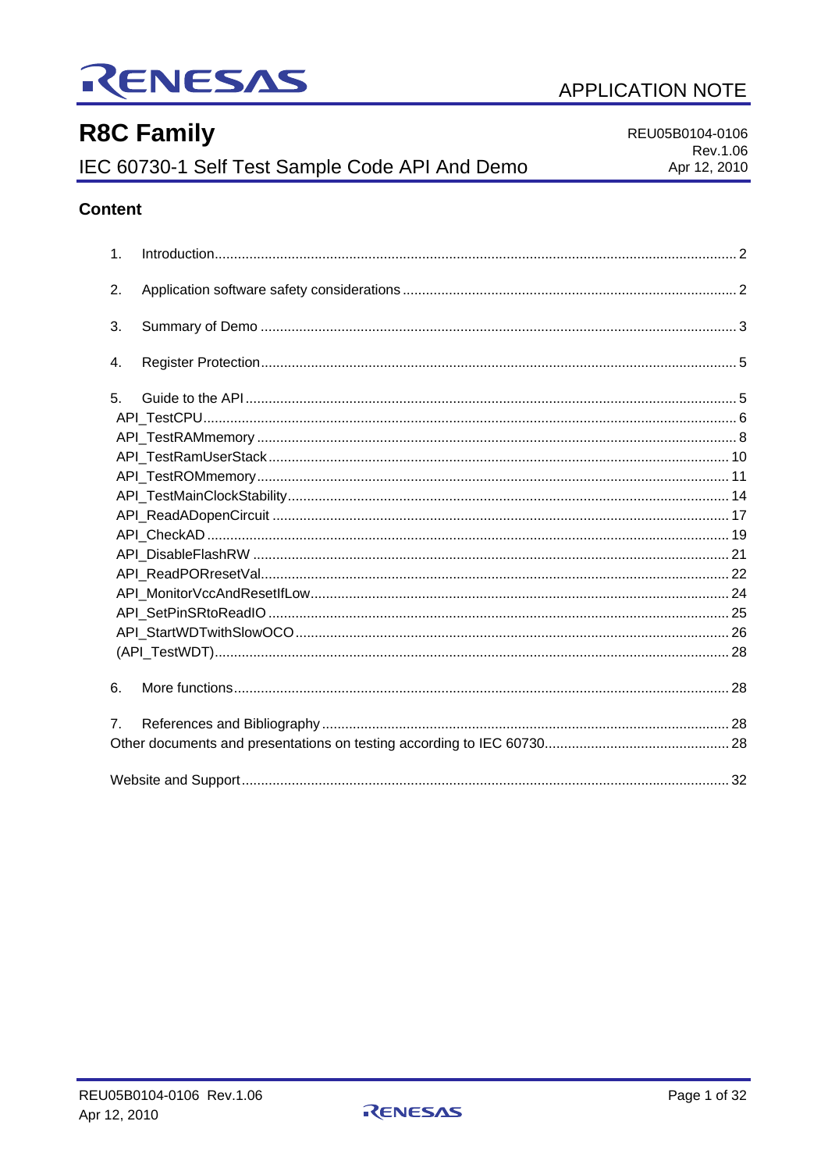

# **R8C Family**

IEC 60730-1 Self Test Sample Code API And Demo

REU05B0104-0106

**APPLICATION NOTE** 

# Rev.1.06 Apr 12, 2010

# **Content**

| 1.             |  |
|----------------|--|
| 2.             |  |
| 3.             |  |
| 4.             |  |
| 5 <sub>1</sub> |  |
|                |  |
|                |  |
|                |  |
|                |  |
|                |  |
|                |  |
|                |  |
|                |  |
|                |  |
|                |  |
|                |  |
|                |  |
|                |  |
| 6.             |  |
| 7 <sub>1</sub> |  |
|                |  |
|                |  |

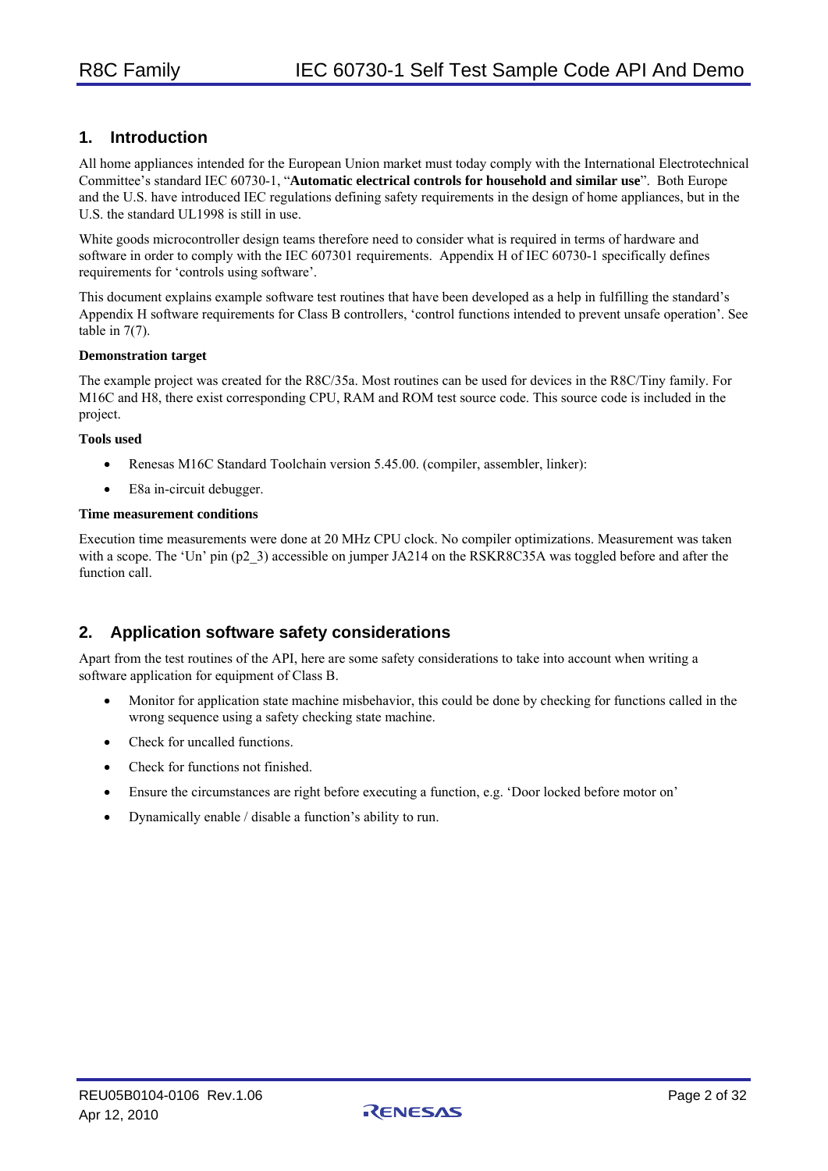# **1. Introduction**

All home appliances intended for the European Union market must today comply with the International Electrotechnical Committee's standard IEC 60730-1, "**Automatic electrical controls for household and similar use**". Both Europe and the U.S. have introduced IEC regulations defining safety requirements in the design of home appliances, but in the U.S. the standard UL1998 is still in use.

White goods microcontroller design teams therefore need to consider what is required in terms of hardware and software in order to comply with the IEC 607301 requirements. Appendix H of IEC 60730-1 specifically defines requirements for 'controls using software'.

This document explains example software test routines that have been developed as a help in fulfilling the standard's Appendix H software requirements for Class B controllers, 'control functions intended to prevent unsafe operation'. See table in 7(7).

#### **Demonstration target**

The example project was created for the R8C/35a. Most routines can be used for devices in the R8C/Tiny family. For M16C and H8, there exist corresponding CPU, RAM and ROM test source code. This source code is included in the project.

#### **Tools used**

- Renesas M16C Standard Toolchain version 5.45.00. (compiler, assembler, linker):
- E8a in-circuit debugger.

#### **Time measurement conditions**

Execution time measurements were done at 20 MHz CPU clock. No compiler optimizations. Measurement was taken with a scope. The 'Un' pin (p2\_3) accessible on jumper JA214 on the RSKR8C35A was toggled before and after the function call.

# **2. Application software safety considerations**

Apart from the test routines of the API, here are some safety considerations to take into account when writing a software application for equipment of Class B.

- Monitor for application state machine misbehavior, this could be done by checking for functions called in the wrong sequence using a safety checking state machine.
- Check for uncalled functions.
- Check for functions not finished.
- Ensure the circumstances are right before executing a function, e.g. 'Door locked before motor on'
- Dynamically enable / disable a function's ability to run.

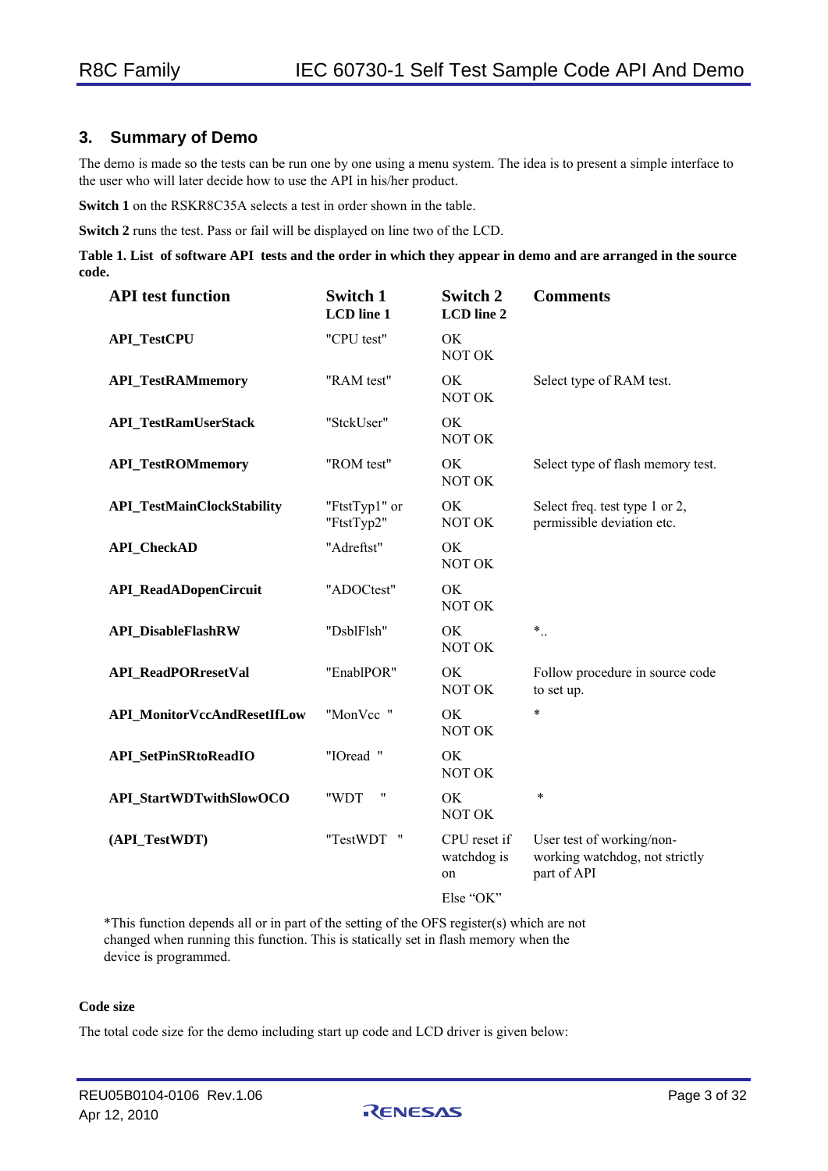# **3. Summary of Demo**

The demo is made so the tests can be run one by one using a menu system. The idea is to present a simple interface to the user who will later decide how to use the API in his/her product.

**Switch 1** on the RSKR8C35A selects a test in order shown in the table.

**Switch 2** runs the test. Pass or fail will be displayed on line two of the LCD.

**Table 1. List of software API tests and the order in which they appear in demo and are arranged in the source code.** 

| <b>API</b> test function           | <b>Switch 1</b><br><b>LCD</b> line 1 | <b>Switch 2</b><br><b>LCD</b> line 2 | <b>Comments</b>                                                            |
|------------------------------------|--------------------------------------|--------------------------------------|----------------------------------------------------------------------------|
| <b>API_TestCPU</b>                 | "CPU test"                           | OK<br>NOT OK                         |                                                                            |
| <b>API_TestRAMmemory</b>           | "RAM test"                           | OK<br>NOT OK                         | Select type of RAM test.                                                   |
| <b>API_TestRamUserStack</b>        | "StckUser"                           | OK<br>NOT OK                         |                                                                            |
| <b>API_TestROMmemory</b>           | "ROM test"                           | OK<br>NOT OK                         | Select type of flash memory test.                                          |
| <b>API_TestMainClockStability</b>  | "FtstTyp1" or<br>"FtstTyp2"          | OK<br>NOT OK                         | Select freq. test type 1 or 2,<br>permissible deviation etc.               |
| <b>API_CheckAD</b>                 | "Adreftst"                           | OK.<br>NOT OK                        |                                                                            |
| <b>API_ReadADopenCircuit</b>       | "ADOCtest"                           | OK<br>NOT OK                         |                                                                            |
| <b>API_DisableFlashRW</b>          | "DsblFlsh"                           | OK<br>NOT OK                         | $*$                                                                        |
| <b>API_ReadPORresetVal</b>         | "EnablPOR"                           | OK<br>NOT OK                         | Follow procedure in source code<br>to set up.                              |
| <b>API_MonitorVccAndResetIfLow</b> | "MonVcc "                            | OK<br>NOT OK                         | *                                                                          |
| <b>API_SetPinSRtoReadIO</b>        | "IOread "                            | OK<br>NOT OK                         |                                                                            |
| API_StartWDTwithSlowOCO            | Ħ<br>"WDT                            | OK.<br>NOT OK                        | $\ast$                                                                     |
| (API_TestWDT)                      | "TestWDT "                           | CPU reset if<br>watchdog is<br>on    | User test of working/non-<br>working watchdog, not strictly<br>part of API |
|                                    |                                      | Else "OK"                            |                                                                            |

\*This function depends all or in part of the setting of the OFS register(s) which are not changed when running this function. This is statically set in flash memory when the device is programmed.

#### **Code size**

The total code size for the demo including start up code and LCD driver is given below:

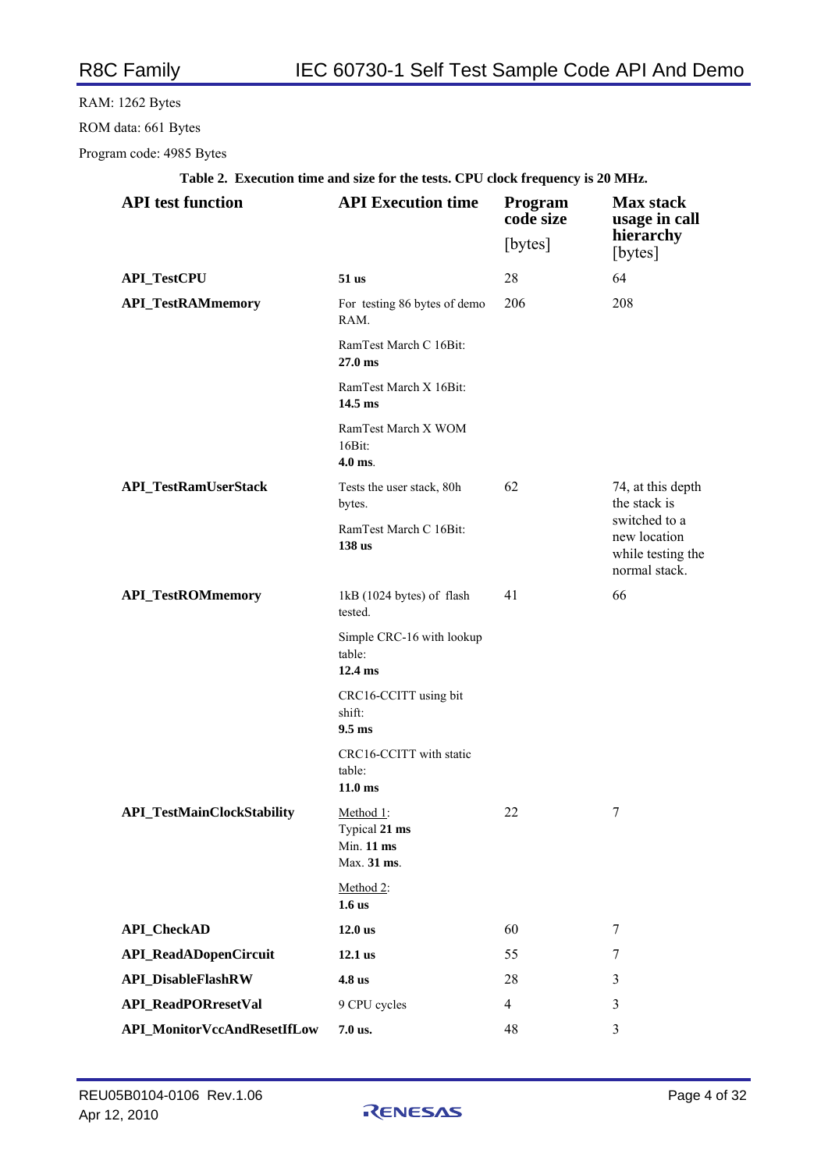# RAM: 1262 Bytes ROM data: 661 Bytes

Program code: 4985 Bytes

| <b>API</b> test function          | <b>API Execution time</b>                                | <b>Program</b><br>code size | <b>Max</b> stack<br>usage in call                                   |
|-----------------------------------|----------------------------------------------------------|-----------------------------|---------------------------------------------------------------------|
|                                   |                                                          | [bytes]                     | hierarchy<br>[bytes]                                                |
| <b>API_TestCPU</b>                | $51$ us                                                  | 28                          | 64                                                                  |
| <b>API_TestRAMmemory</b>          | For testing 86 bytes of demo<br>RAM.                     | 206                         | 208                                                                 |
|                                   | RamTest March C 16Bit:<br>$27.0 \text{ ms}$              |                             |                                                                     |
|                                   | RamTest March X 16Bit:<br>$14.5$ ms                      |                             |                                                                     |
|                                   | RamTest March X WOM<br>16Bit:<br>$4.0$ ms.               |                             |                                                                     |
| <b>API_TestRamUserStack</b>       | Tests the user stack, 80h<br>bytes.                      | 62                          | 74, at this depth<br>the stack is                                   |
|                                   | RamTest March C 16Bit:<br>138 us                         |                             | switched to a<br>new location<br>while testing the<br>normal stack. |
| <b>API_TestROMmemory</b>          | 1kB (1024 bytes) of flash<br>tested.                     | 41                          | 66                                                                  |
|                                   | Simple CRC-16 with lookup<br>table:<br>$12.4 \text{ ms}$ |                             |                                                                     |
|                                   | CRC16-CCITT using bit<br>shift:<br>$9.5 \text{ ms}$      |                             |                                                                     |
|                                   | CRC16-CCITT with static<br>table:<br>$11.0 \text{ ms}$   |                             |                                                                     |
| <b>API_TestMainClockStability</b> | Method 1:<br>Typical 21 ms<br>Min. 11 ms<br>Max. 31 ms.  | 22                          | 7                                                                   |
|                                   | Method 2:<br>1.6 <sub>us</sub>                           |                             |                                                                     |
| <b>API_CheckAD</b>                | $12.0$ us                                                | 60                          | 7                                                                   |
| <b>API_ReadADopenCircuit</b>      | 12.1 us                                                  | 55                          | 7                                                                   |
| <b>API_DisableFlashRW</b>         | 4.8 us                                                   | 28                          | 3                                                                   |
| <b>API_ReadPORresetVal</b>        | 9 CPU cycles                                             | 4                           | 3                                                                   |
| API_MonitorVccAndResetIfLow       | 7.0 us.                                                  | 48                          | 3                                                                   |

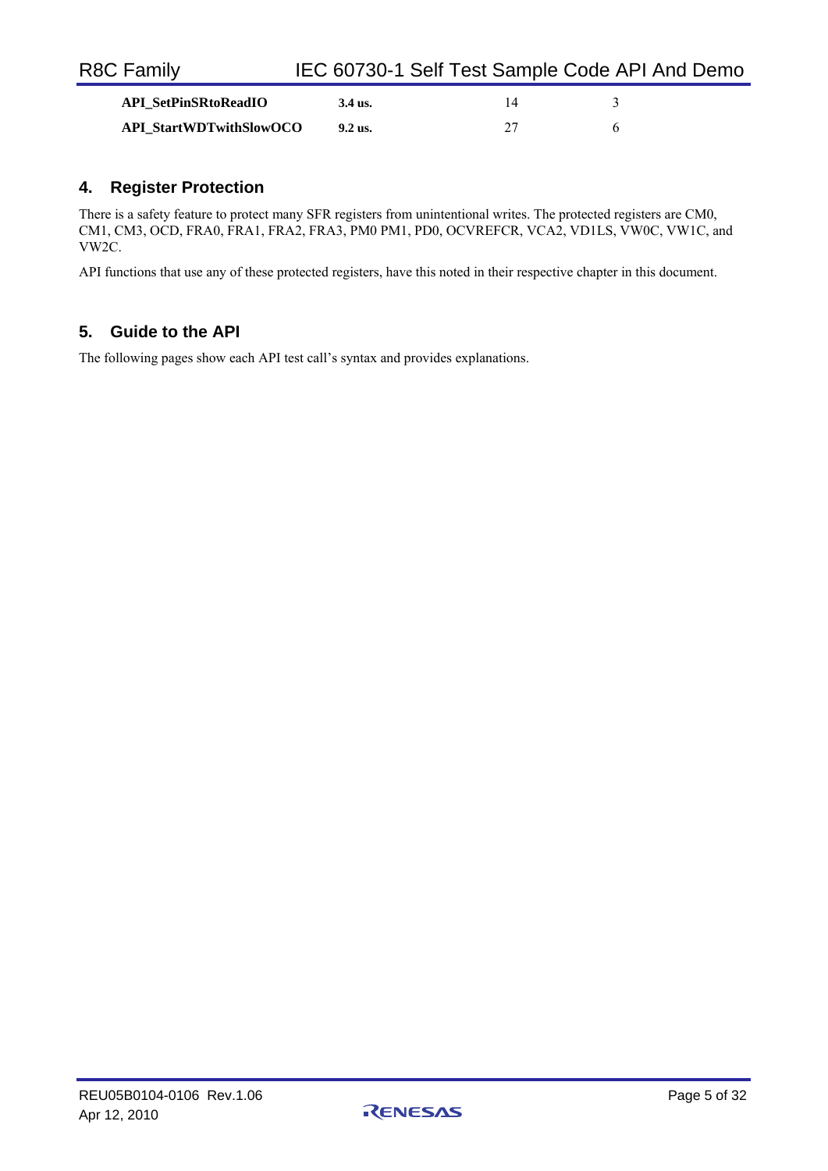| <b>R8C Family</b>              | IEC 60730-1 Self Test Sample Code API And Demo |    |  |
|--------------------------------|------------------------------------------------|----|--|
| <b>API SetPinSRtoReadIO</b>    | 3.4 us.                                        | 14 |  |
| <b>API_StartWDTwithSlowOCO</b> | 9.2 us.                                        | フフ |  |

# **4. Register Protection**

There is a safety feature to protect many SFR registers from unintentional writes. The protected registers are CM0, CM1, CM3, OCD, FRA0, FRA1, FRA2, FRA3, PM0 PM1, PD0, OCVREFCR, VCA2, VD1LS, VW0C, VW1C, and VW2C.

API functions that use any of these protected registers, have this noted in their respective chapter in this document.

# **5. Guide to the API**

The following pages show each API test call's syntax and provides explanations.

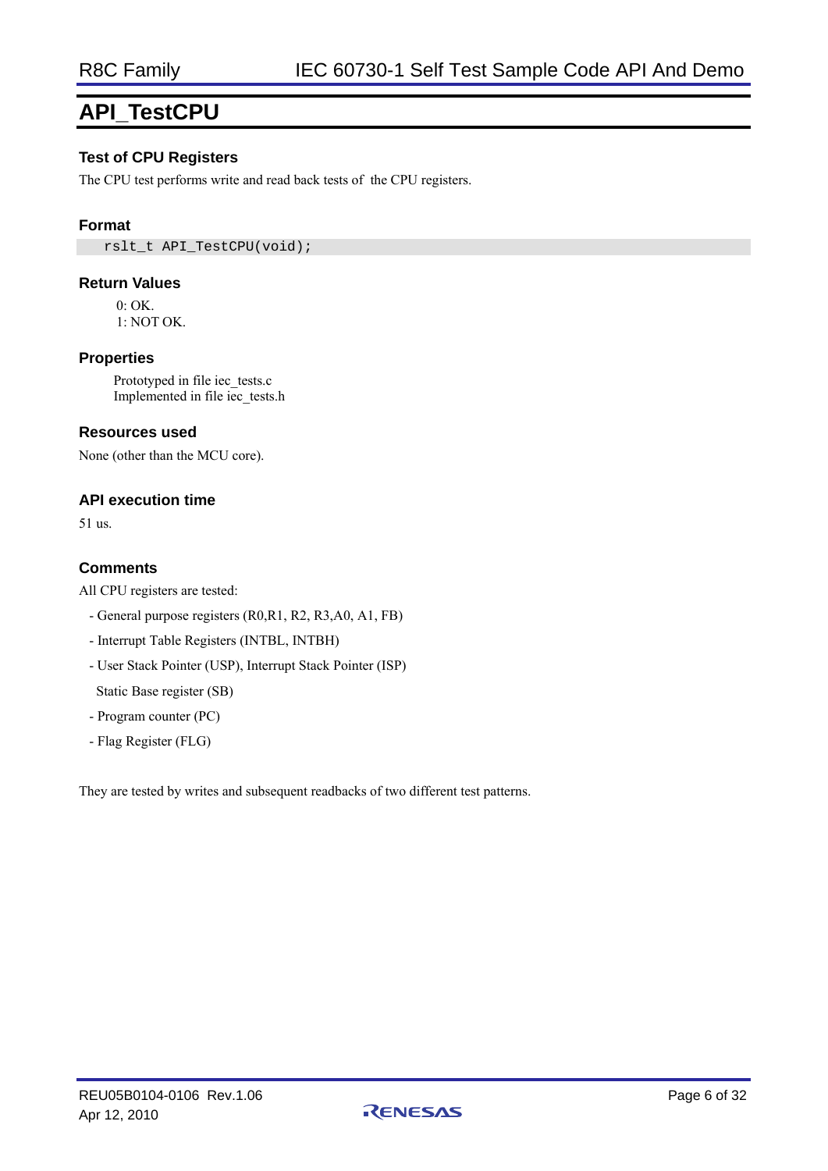# **API\_TestCPU**

### **Test of CPU Registers**

The CPU test performs write and read back tests of the CPU registers.

#### **Format**

rslt\_t API\_TestCPU(void);

#### **Return Values**

 $0 \cdot OK$ 1: NOT OK.

**Properties** 

Prototyped in file iec\_tests.c Implemented in file iec\_tests.h

#### **Resources used**

None (other than the MCU core).

#### **API execution time**

51 us.

#### **Comments**

All CPU registers are tested:

- General purpose registers (R0,R1, R2, R3,A0, A1, FB)
- Interrupt Table Registers (INTBL, INTBH)
- User Stack Pointer (USP), Interrupt Stack Pointer (ISP)

Static Base register (SB)

- Program counter (PC)
- Flag Register (FLG)

They are tested by writes and subsequent readbacks of two different test patterns.

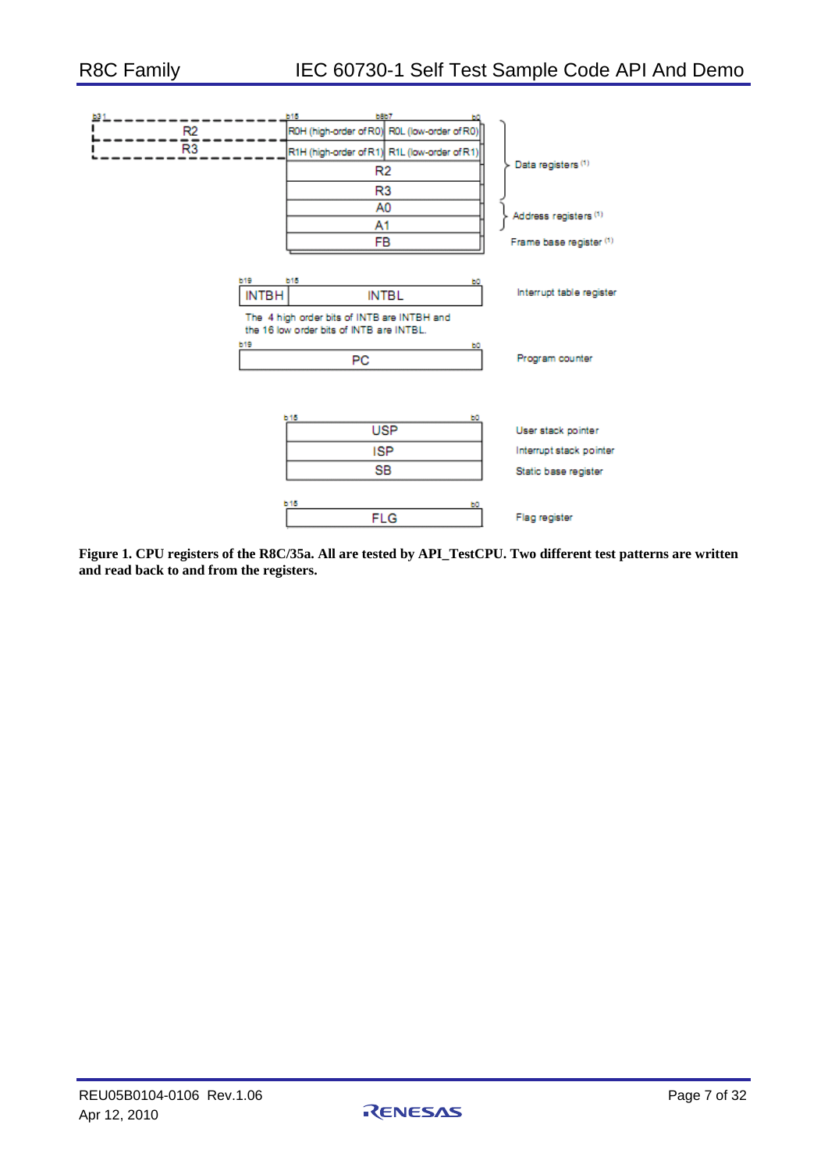| 121 |                 |              | <b>b15</b>                                                                              | <b>bBb7</b>                                  |                          |
|-----|-----------------|--------------|-----------------------------------------------------------------------------------------|----------------------------------------------|--------------------------|
|     | R <sub>2</sub>  |              |                                                                                         | R0H (high-order of R0) R0L (low-order of R0) |                          |
|     | $\overline{R3}$ |              | R1H (high-order of R1) R1L (low-order of R1)                                            |                                              |                          |
|     |                 |              |                                                                                         | R2                                           | Data registers (1)       |
|     |                 |              |                                                                                         | R3                                           |                          |
|     |                 |              |                                                                                         | A0                                           | Address registers (1)    |
|     |                 |              | A1                                                                                      |                                              |                          |
|     |                 |              |                                                                                         | FB                                           | Frame base register (1)  |
|     |                 |              |                                                                                         |                                              |                          |
|     |                 | <b>b19</b>   | <b>b15</b>                                                                              | ьо                                           | Interrupt table register |
|     |                 | <b>INTBH</b> |                                                                                         | <b>INTBL</b>                                 |                          |
|     |                 |              | The 4 high order bits of INTB are INTBH and<br>the 16 low order bits of INTB are INTBL. |                                              |                          |
|     |                 | <b>b19</b>   |                                                                                         | ьо                                           |                          |
|     |                 |              | PC.                                                                                     |                                              | Program counter          |
|     |                 |              |                                                                                         |                                              |                          |
|     |                 |              |                                                                                         |                                              |                          |
|     |                 |              | <b>b15</b>                                                                              | ьо                                           |                          |
|     |                 |              |                                                                                         | <b>USP</b>                                   | User stack pointer       |
|     |                 |              |                                                                                         | <b>ISP</b>                                   | Interrupt stack pointer  |
|     |                 |              |                                                                                         | SB                                           | Static base register     |
|     |                 |              |                                                                                         |                                              |                          |
|     |                 |              | <b>b15</b>                                                                              | ьо<br><b>FLG</b>                             | Flag register            |
|     |                 |              |                                                                                         |                                              |                          |

**Figure 1. CPU registers of the R8C/35a. All are tested by API\_TestCPU. Two different test patterns are written and read back to and from the registers.** 

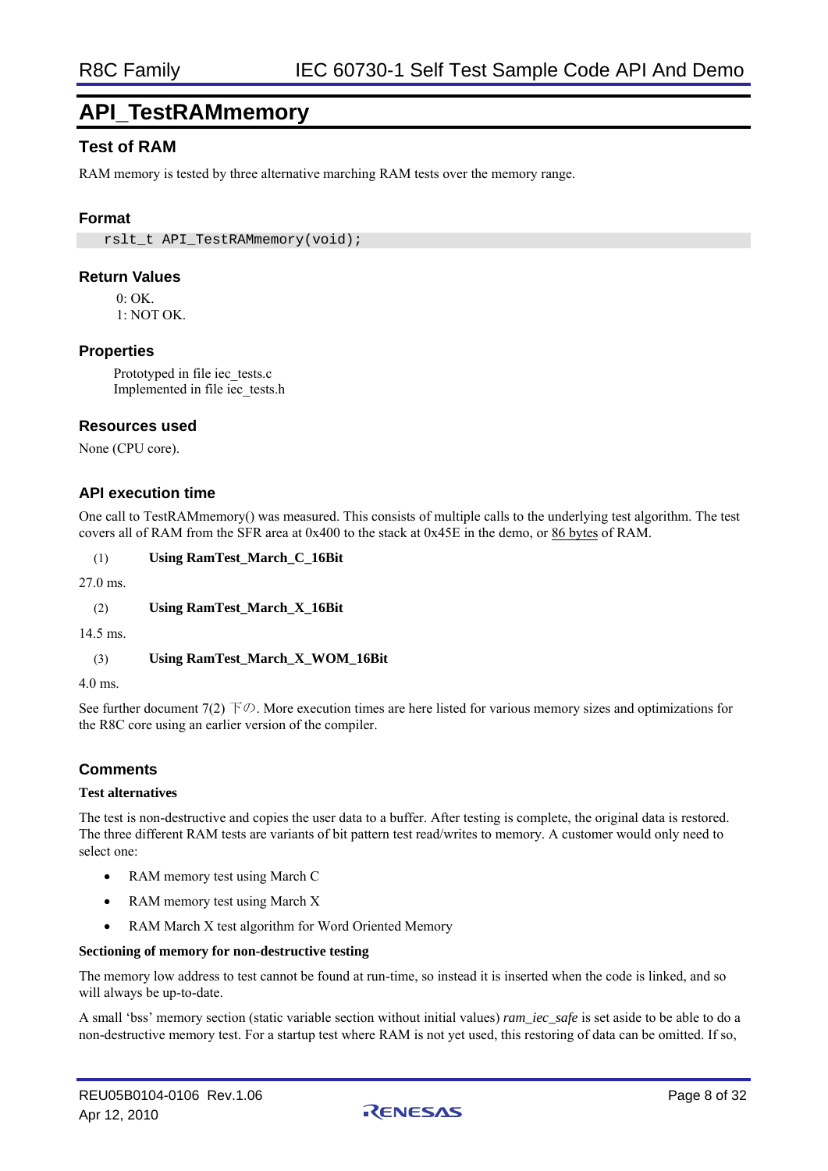# **API\_TestRAMmemory**

# **Test of RAM**

RAM memory is tested by three alternative marching RAM tests over the memory range.

### **Format**

rslt\_t\_API\_TestRAMmemory(void);

#### **Return Values**

 $0 \cdot \Omega$ K

1: NOT OK.

#### **Properties**

Prototyped in file iec\_tests.c Implemented in file iec\_tests.h

#### **Resources used**

None (CPU core).

### **API execution time**

One call to TestRAMmemory() was measured. This consists of multiple calls to the underlying test algorithm. The test covers all of RAM from the SFR area at 0x400 to the stack at 0x45E in the demo, or 86 bytes of RAM.

(1) **Using RamTest\_March\_C\_16Bit** 

27.0 ms.

(2) **Using RamTest\_March\_X\_16Bit** 

14.5 ms.

(3) **Using RamTest\_March\_X\_WOM\_16Bit** 

4.0 ms.

See further document 7(2)  $\overline{Y} \varnothing$ . More execution times are here listed for various memory sizes and optimizations for the R8C core using an earlier version of the compiler.

### **Comments**

#### **Test alternatives**

The test is non-destructive and copies the user data to a buffer. After testing is complete, the original data is restored. The three different RAM tests are variants of bit pattern test read/writes to memory. A customer would only need to select one:

- RAM memory test using March C
- RAM memory test using March X
- RAM March X test algorithm for Word Oriented Memory

#### **Sectioning of memory for non-destructive testing**

The memory low address to test cannot be found at run-time, so instead it is inserted when the code is linked, and so will always be up-to-date.

A small 'bss' memory section (static variable section without initial values) *ram\_iec\_safe* is set aside to be able to do a non-destructive memory test. For a startup test where RAM is not yet used, this restoring of data can be omitted. If so,

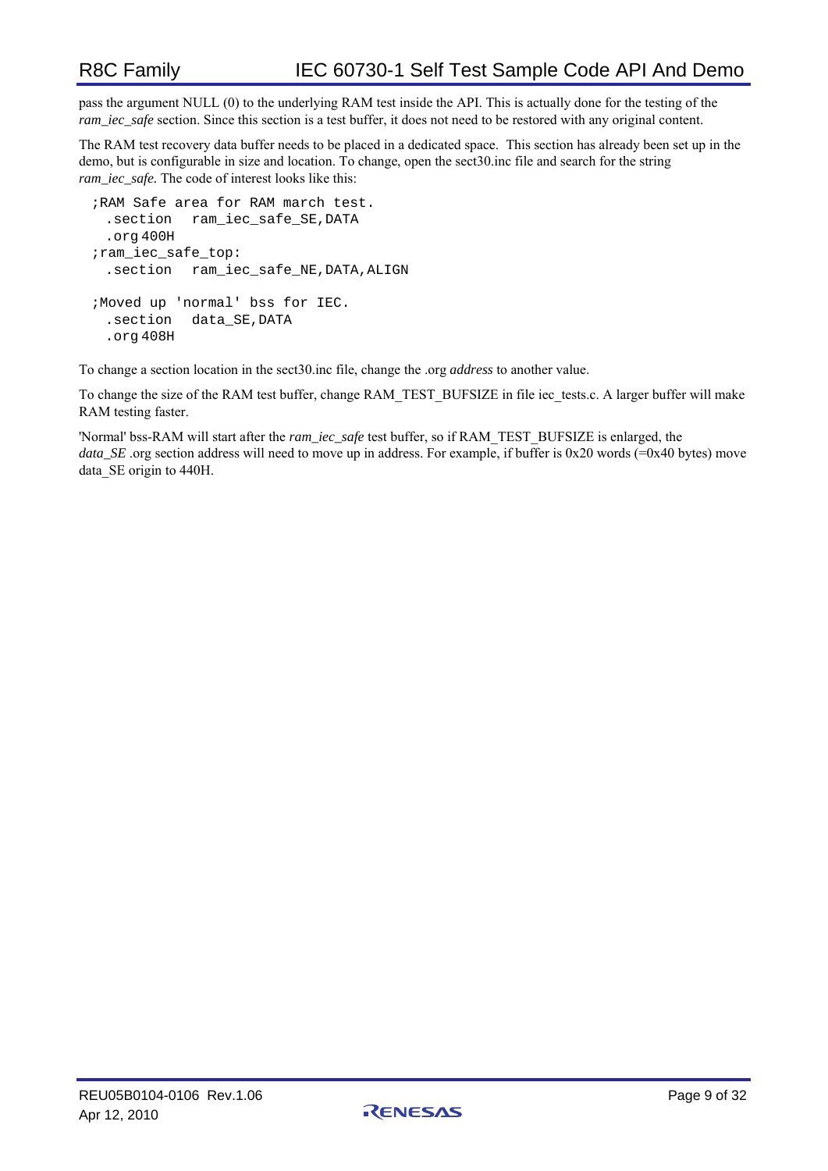pass the argument NULL (0) to the underlying RAM test inside the API. This is actually done for the testing of the *ram\_iec\_safe* section. Since this section is a test buffer, it does not need to be restored with any original content.

The RAM test recovery data buffer needs to be placed in a dedicated space. This section has already been set up in the demo, but is configurable in size and location. To change, open the sect30.inc file and search for the string *ram\_iec\_safe.* The code of interest looks like this:

```
;RAM Safe area for RAM march test. 
  .section ram_iec_safe_SE,DATA 
  .org 400H 
; ram_iec_safe_top:
  .section ram_iec_safe_NE,DATA,ALIGN 
;Moved up 'normal' bss for IEC. 
  .section data_SE,DATA 
  .org 408H
```
To change a section location in the sect30.inc file, change the .org *address* to another value.

To change the size of the RAM test buffer, change RAM\_TEST\_BUFSIZE in file iec\_tests.c. A larger buffer will make RAM testing faster.

'Normal' bss-RAM will start after the *ram\_iec\_safe* test buffer, so if RAM\_TEST\_BUFSIZE is enlarged, the *data* SE .org section address will need to move up in address. For example, if buffer is 0x20 words (=0x40 bytes) move data SE origin to 440H.

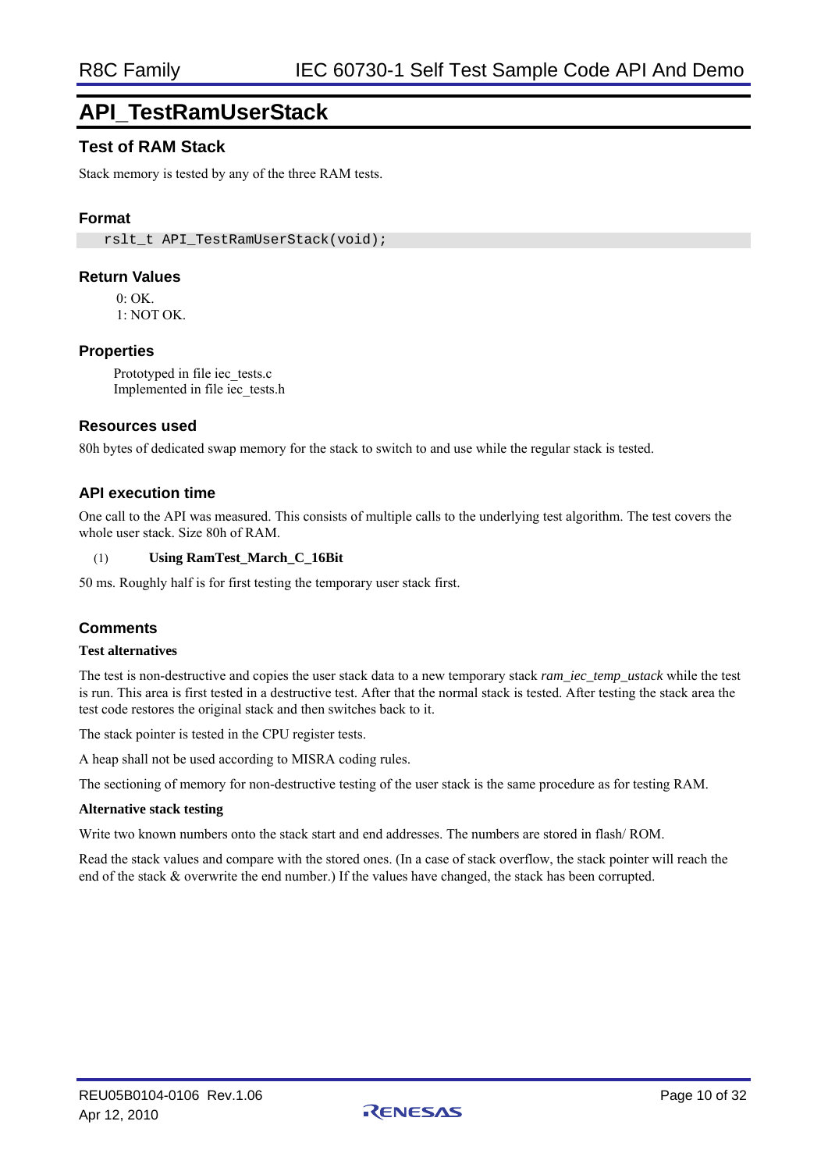# **API\_TestRamUserStack**

# **Test of RAM Stack**

Stack memory is tested by any of the three RAM tests.

### **Format**

rslt\_t\_API\_TestRamUserStack(void);

#### **Return Values**

 $0:$  OK.

1: NOT OK.

### **Properties**

Prototyped in file iec\_tests.c Implemented in file iec\_tests.h

#### **Resources used**

80h bytes of dedicated swap memory for the stack to switch to and use while the regular stack is tested.

### **API execution time**

One call to the API was measured. This consists of multiple calls to the underlying test algorithm. The test covers the whole user stack. Size 80h of RAM.

#### (1) **Using RamTest\_March\_C\_16Bit**

50 ms. Roughly half is for first testing the temporary user stack first.

### **Comments**

#### **Test alternatives**

The test is non-destructive and copies the user stack data to a new temporary stack *ram\_iec\_temp\_ustack* while the test is run. This area is first tested in a destructive test. After that the normal stack is tested. After testing the stack area the test code restores the original stack and then switches back to it.

The stack pointer is tested in the CPU register tests.

A heap shall not be used according to MISRA coding rules.

The sectioning of memory for non-destructive testing of the user stack is the same procedure as for testing RAM.

#### **Alternative stack testing**

Write two known numbers onto the stack start and end addresses. The numbers are stored in flash/ ROM.

Read the stack values and compare with the stored ones. (In a case of stack overflow, the stack pointer will reach the end of the stack & overwrite the end number.) If the values have changed, the stack has been corrupted.

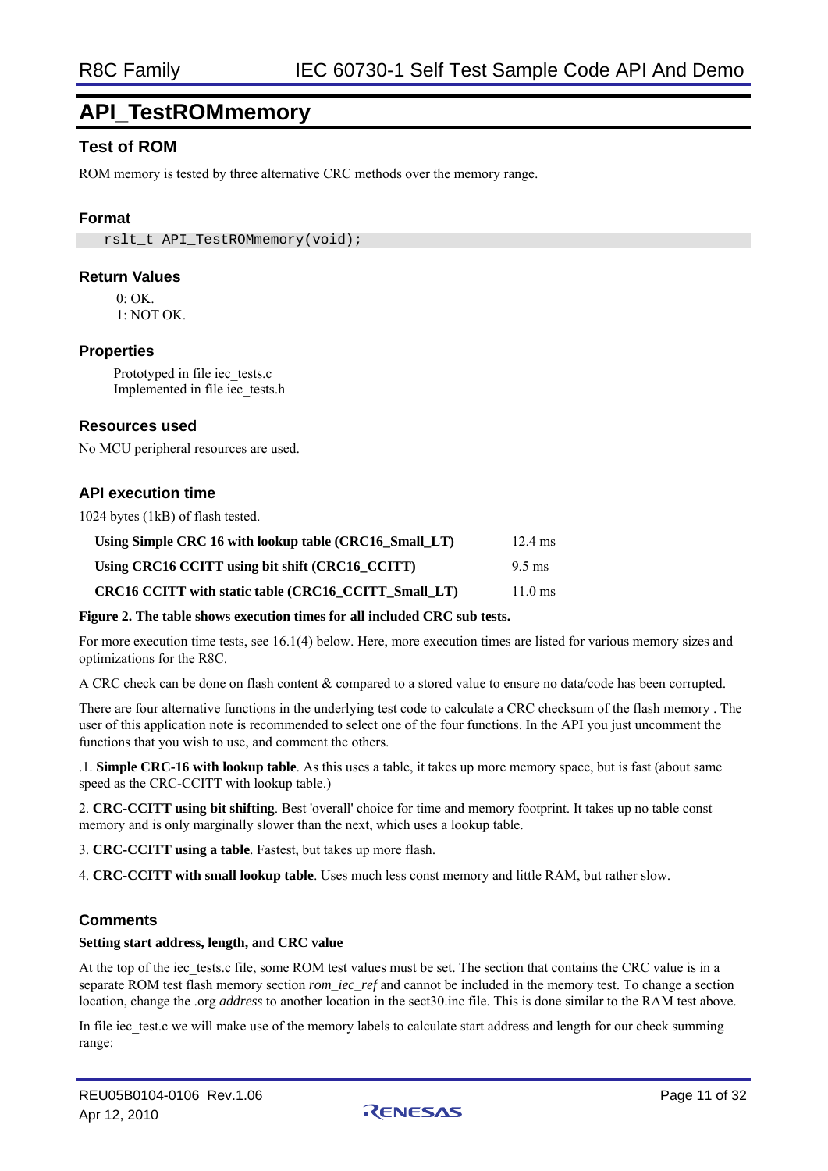# **API\_TestROMmemory**

# **Test of ROM**

ROM memory is tested by three alternative CRC methods over the memory range.

### **Format**

rslt\_t\_API\_TestROMmemory(void);

#### **Return Values**

 $0 \cdot \Omega$ K

1: NOT OK.

#### **Properties**

Prototyped in file iec\_tests.c Implemented in file iec\_tests.h

#### **Resources used**

No MCU peripheral resources are used.

### **API execution time**

1024 bytes (1kB) of flash tested.

| Using Simple CRC 16 with lookup table (CRC16 Small LT) | $12.4 \text{ ms}$ |
|--------------------------------------------------------|-------------------|
| Using CRC16 CCITT using bit shift (CRC16 CCITT)        | $9.5 \text{ ms}$  |
| CRC16 CCITT with static table (CRC16 CCITT Small LT)   | $11.0 \text{ ms}$ |

#### **Figure 2. The table shows execution times for all included CRC sub tests.**

For more execution time tests, see 16.1(4) below. Here, more execution times are listed for various memory sizes and optimizations for the R8C.

A CRC check can be done on flash content & compared to a stored value to ensure no data/code has been corrupted.

There are four alternative functions in the underlying test code to calculate a CRC checksum of the flash memory . The user of this application note is recommended to select one of the four functions. In the API you just uncomment the functions that you wish to use, and comment the others.

.1. **Simple CRC-16 with lookup table**. As this uses a table, it takes up more memory space, but is fast (about same speed as the CRC-CCITT with lookup table.)

2. **CRC-CCITT using bit shifting**. Best 'overall' choice for time and memory footprint. It takes up no table const memory and is only marginally slower than the next, which uses a lookup table.

3. **CRC-CCITT using a table**. Fastest, but takes up more flash.

4. **CRC-CCITT with small lookup table**. Uses much less const memory and little RAM, but rather slow.

### **Comments**

#### **Setting start address, length, and CRC value**

At the top of the iec\_tests.c file, some ROM test values must be set. The section that contains the CRC value is in a separate ROM test flash memory section *rom\_iec\_ref* and cannot be included in the memory test. To change a section location, change the .org *address* to another location in the sect30.inc file. This is done similar to the RAM test above.

In file iec test.c we will make use of the memory labels to calculate start address and length for our check summing range:

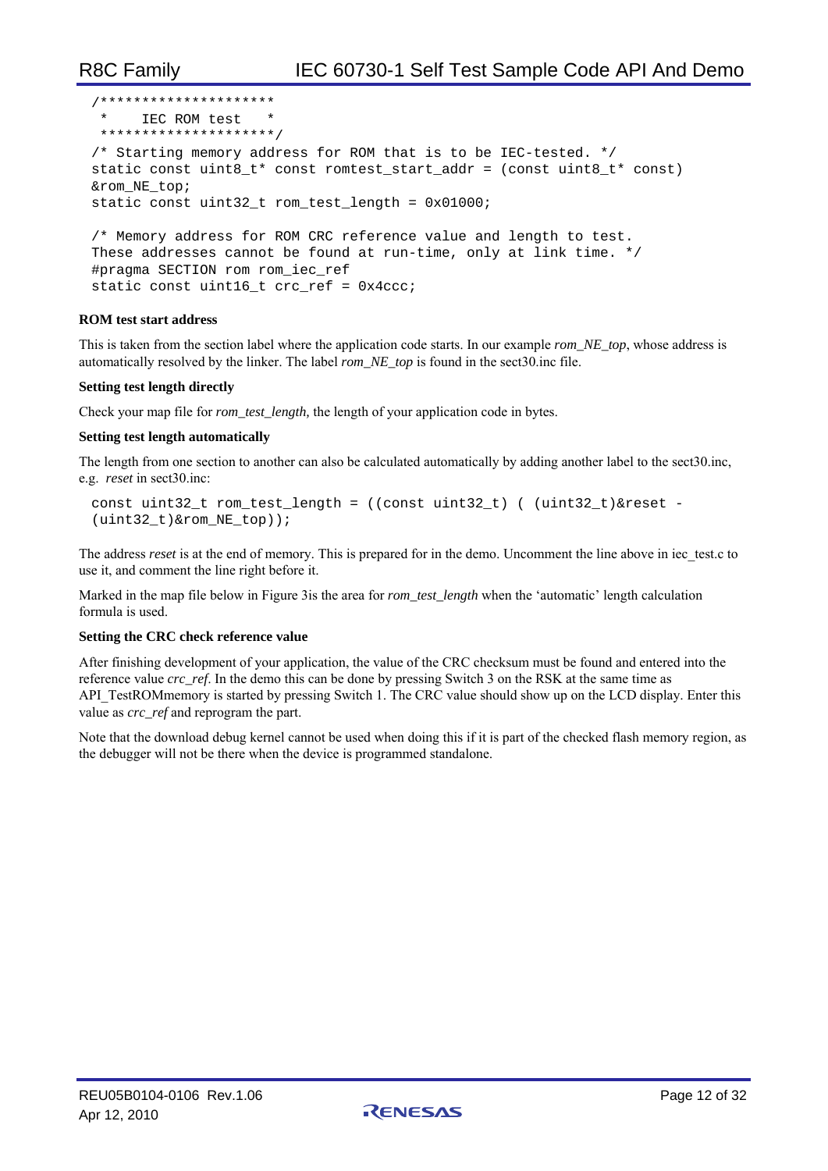```
/********************* 
  * IEC ROM test * 
  *********************/ 
/* Starting memory address for ROM that is to be IEC-tested. */ 
static const uint8_t* const romtest_start_addr = (const uint8_t* const) 
&rom_NE_top; 
static const uint32_t rom_test_length = 0x01000; 
/* Memory address for ROM CRC reference value and length to test.
```
These addresses cannot be found at run-time, only at link time. \*/ #pragma SECTION rom rom\_iec\_ref static const uint16\_t crc\_ref = 0x4ccc;

#### **ROM test start address**

This is taken from the section label where the application code starts. In our example *rom\_NE\_top*, whose address is automatically resolved by the linker. The label *rom\_NE\_top* is found in the sect30.inc file.

#### **Setting test length directly**

Check your map file for *rom\_test\_length*, the length of your application code in bytes.

#### **Setting test length automatically**

The length from one section to another can also be calculated automatically by adding another label to the sect30.inc, e.g. *reset* in sect30.inc:

```
const uint32_t rom_test_length = ((const uint32_t) ( (uint32_t)&reset - 
(uint32_t)&rom_NE_top));
```
The address *reset* is at the end of memory. This is prepared for in the demo. Uncomment the line above in iec test.c to use it, and comment the line right before it.

Marked in the map file below in Figure 3is the area for *rom\_test\_length* when the 'automatic' length calculation formula is used.

#### **Setting the CRC check reference value**

After finishing development of your application, the value of the CRC checksum must be found and entered into the reference value *crc\_ref*. In the demo this can be done by pressing Switch 3 on the RSK at the same time as API\_TestROMmemory is started by pressing Switch 1. The CRC value should show up on the LCD display. Enter this value as *crc\_ref* and reprogram the part.

Note that the download debug kernel cannot be used when doing this if it is part of the checked flash memory region, as the debugger will not be there when the device is programmed standalone.

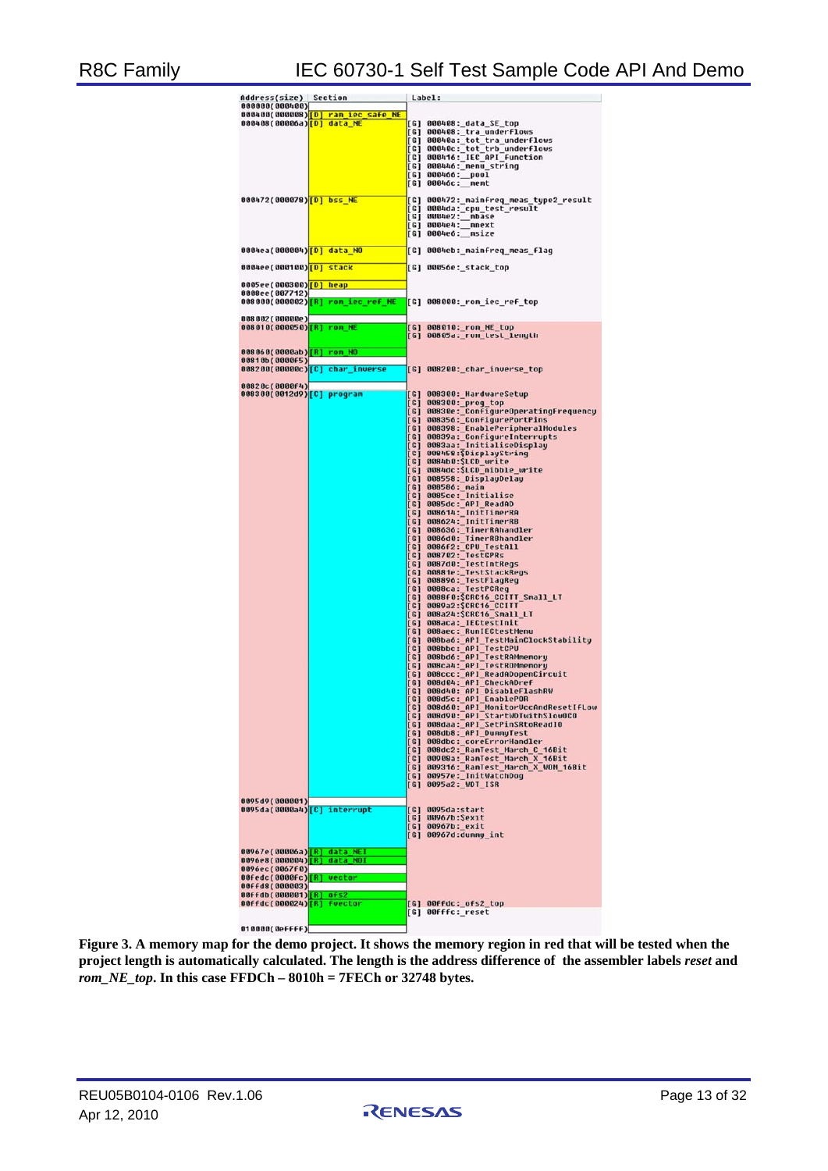# R8C Family IEC 60730-1 Self Test Sample Code API And Demo

| <b>Address(size)</b>                                                          | Section |                                                |                     | Label:                                                                                                                                                                                                                                                        |
|-------------------------------------------------------------------------------|---------|------------------------------------------------|---------------------|---------------------------------------------------------------------------------------------------------------------------------------------------------------------------------------------------------------------------------------------------------------|
| 000000(000400)                                                                |         |                                                |                     |                                                                                                                                                                                                                                                               |
|                                                                               |         | 000400(000008)[D] ram_iec_safe_NE              |                     |                                                                                                                                                                                                                                                               |
| 000408(00006a)[D] data NE                                                     |         |                                                |                     | [G] 000408:_data_SE_top                                                                                                                                                                                                                                       |
|                                                                               |         |                                                |                     | [G] 000408: tra underflows                                                                                                                                                                                                                                    |
|                                                                               |         |                                                |                     | [G] 00040a:_tot_tra_underflows                                                                                                                                                                                                                                |
|                                                                               |         |                                                |                     | [G] 00040c:_tot_trb_underflows                                                                                                                                                                                                                                |
|                                                                               |         |                                                |                     | <b>[G] 000416: IEC API function</b>                                                                                                                                                                                                                           |
|                                                                               |         |                                                |                     | [G] 000446: menu string                                                                                                                                                                                                                                       |
|                                                                               |         |                                                |                     | [G] 000466: pool                                                                                                                                                                                                                                              |
|                                                                               |         |                                                |                     | [G] 00046c: _ memt                                                                                                                                                                                                                                            |
|                                                                               |         |                                                |                     |                                                                                                                                                                                                                                                               |
| 000472(000078)[D] bss_NE                                                      |         |                                                | [G]                 | 000472: mainfreq meas type2 result                                                                                                                                                                                                                            |
|                                                                               |         |                                                | [G]                 | 0004da:_cpu_test_result                                                                                                                                                                                                                                       |
|                                                                               |         |                                                |                     | [G] 0004e2:_mbase                                                                                                                                                                                                                                             |
|                                                                               |         |                                                | [G]                 | 0004e4: nnext                                                                                                                                                                                                                                                 |
|                                                                               |         |                                                |                     | [G] 0004e6: _msize                                                                                                                                                                                                                                            |
|                                                                               |         |                                                |                     |                                                                                                                                                                                                                                                               |
| 0004ea(000004)[D] data_NO                                                     |         |                                                |                     | [G] 0004eb:_mainfreq_meas_flag                                                                                                                                                                                                                                |
|                                                                               |         |                                                |                     |                                                                                                                                                                                                                                                               |
| 0004ee(000100)[D] stack                                                       |         |                                                |                     | [G] 00056e:_stack_top                                                                                                                                                                                                                                         |
|                                                                               |         |                                                |                     |                                                                                                                                                                                                                                                               |
| 0005ee(000300) <mark>[D] heap</mark>                                          |         |                                                |                     |                                                                                                                                                                                                                                                               |
| 0008ee(007712)                                                                |         |                                                |                     |                                                                                                                                                                                                                                                               |
|                                                                               |         | 008000(000002) <mark>[R] rom_iec_ref_NE</mark> |                     | [G] 008000:_rom_iec_ref_top                                                                                                                                                                                                                                   |
|                                                                               |         |                                                |                     |                                                                                                                                                                                                                                                               |
| 008002(00000e)                                                                |         |                                                |                     |                                                                                                                                                                                                                                                               |
| 008010(000050)[R] rom NE                                                      |         |                                                |                     | [G] 008010:_rom_NE_top                                                                                                                                                                                                                                        |
|                                                                               |         |                                                |                     | [G] 00805a:_rom_test_length                                                                                                                                                                                                                                   |
|                                                                               |         |                                                |                     |                                                                                                                                                                                                                                                               |
| 008060(0000ab) [R] rom NO                                                     |         |                                                |                     |                                                                                                                                                                                                                                                               |
| 00810b(0000F5)                                                                |         |                                                |                     |                                                                                                                                                                                                                                                               |
| 008200(00000c)[C] char_inverse                                                |         |                                                |                     | [G] 008200:_char_inverse_top                                                                                                                                                                                                                                  |
|                                                                               |         |                                                |                     |                                                                                                                                                                                                                                                               |
| 00820c (0000f4)                                                               |         |                                                |                     |                                                                                                                                                                                                                                                               |
| 008300(0012d9)[C] program                                                     |         |                                                | [6]                 | 008300: HardwareSetup                                                                                                                                                                                                                                         |
|                                                                               |         |                                                | [G]                 | 008300: prog_top                                                                                                                                                                                                                                              |
|                                                                               |         |                                                | [6]                 | 00830e: ConfigureOperatingFrequency                                                                                                                                                                                                                           |
|                                                                               |         |                                                | [6]                 | 008356: ConfigurePortPins                                                                                                                                                                                                                                     |
|                                                                               |         |                                                | [G]                 | 008398: EnablePeripheralModules                                                                                                                                                                                                                               |
|                                                                               |         |                                                | [6]                 | 00839a: ConfigureInterrupts                                                                                                                                                                                                                                   |
|                                                                               |         |                                                | [G]                 | 0083aa: InitialiseDisplay                                                                                                                                                                                                                                     |
|                                                                               |         |                                                | $\lceil c \rceil$   | 008458: SDisplayString                                                                                                                                                                                                                                        |
|                                                                               |         |                                                | [G]                 | 0084b0:\$LCD write                                                                                                                                                                                                                                            |
|                                                                               |         |                                                | [6]                 | 0084dc:\$LCD nibble write                                                                                                                                                                                                                                     |
|                                                                               |         |                                                |                     |                                                                                                                                                                                                                                                               |
|                                                                               |         |                                                | [6]                 | 008558: DisplayDelay                                                                                                                                                                                                                                          |
|                                                                               |         |                                                | [G]                 | 008586: main                                                                                                                                                                                                                                                  |
|                                                                               |         |                                                | [6]                 | 0085ce: Initialise                                                                                                                                                                                                                                            |
|                                                                               |         |                                                | [6]                 | 0085dc: API ReadAD                                                                                                                                                                                                                                            |
|                                                                               |         |                                                | [G]                 | 008614: InitTimerRA                                                                                                                                                                                                                                           |
|                                                                               |         |                                                | [G]                 | 008624: InitTimerRB                                                                                                                                                                                                                                           |
|                                                                               |         |                                                | [G]                 | 008636: TimerRAhandler                                                                                                                                                                                                                                        |
|                                                                               |         |                                                | [G]                 |                                                                                                                                                                                                                                                               |
|                                                                               |         |                                                | $\lbrack 6 \rbrack$ |                                                                                                                                                                                                                                                               |
|                                                                               |         |                                                | [G]                 |                                                                                                                                                                                                                                                               |
|                                                                               |         |                                                | [G]                 |                                                                                                                                                                                                                                                               |
|                                                                               |         |                                                | [6]                 |                                                                                                                                                                                                                                                               |
|                                                                               |         |                                                | [6]                 |                                                                                                                                                                                                                                                               |
|                                                                               |         |                                                | [G]                 |                                                                                                                                                                                                                                                               |
|                                                                               |         |                                                | [G]                 |                                                                                                                                                                                                                                                               |
|                                                                               |         |                                                | [6]                 |                                                                                                                                                                                                                                                               |
|                                                                               |         |                                                | $\lbrack G \rbrack$ |                                                                                                                                                                                                                                                               |
|                                                                               |         |                                                | [G]                 | 008636:_IimerRAhandler<br>008640:_IimerRBhandler<br>008642:_CPU_TestAll<br>008702:_TestCPRs<br>008702:_TestIntRegs<br>008701:_TestIntRegs<br>008870:_TestIntRegs<br>008804:_TestPCReg<br>00886a:_TestPCReg<br>00886a:_TestPCRegs<br>008922:\$CRC16_CCIII_SMal |
|                                                                               |         |                                                | [6]                 | 008aca:_IECtestInit<br>008aec:_RunIECtestMenu                                                                                                                                                                                                                 |
|                                                                               |         |                                                | [G]                 | 008ba6:_API_TestMainClockStability                                                                                                                                                                                                                            |
|                                                                               |         |                                                |                     | [G] 008bbc: API TestCPU                                                                                                                                                                                                                                       |
|                                                                               |         |                                                |                     | [G] 008bd6: API TestRAMmemory                                                                                                                                                                                                                                 |
|                                                                               |         |                                                |                     | [G] 008ca4:_API_TestROMmemory                                                                                                                                                                                                                                 |
|                                                                               |         |                                                |                     | [G] 008ccc: API ReadADopenCircuit                                                                                                                                                                                                                             |
|                                                                               |         |                                                |                     | [G] 008d04: API CheckADref                                                                                                                                                                                                                                    |
|                                                                               |         |                                                |                     | [G] 008d40: API DisableFlashRW                                                                                                                                                                                                                                |
|                                                                               |         |                                                |                     | [G] 008d5c:_API_EnablePOR                                                                                                                                                                                                                                     |
|                                                                               |         |                                                |                     | [G] 008d60: API MonitorUccAndResetIfLow                                                                                                                                                                                                                       |
|                                                                               |         |                                                |                     | [G] 008d90: API StartWDTwithSlowOCO                                                                                                                                                                                                                           |
|                                                                               |         |                                                |                     | [G] 008daa:_API_SetPinSRtoReadIO                                                                                                                                                                                                                              |
|                                                                               |         |                                                |                     | [G] 008db8: API DunnyTest                                                                                                                                                                                                                                     |
|                                                                               |         |                                                |                     | [G] 008dbc:_coreErrorHandler                                                                                                                                                                                                                                  |
|                                                                               |         |                                                |                     | [G] 008dc2: RamTest March C 16Bit                                                                                                                                                                                                                             |
|                                                                               |         |                                                |                     | [G] 00908a: RamTest March X 16Bit                                                                                                                                                                                                                             |
|                                                                               |         |                                                |                     | [G] 009316: RamTest March X WOM 16Bit                                                                                                                                                                                                                         |
|                                                                               |         |                                                |                     | [G] 00957e: InitWatchDog                                                                                                                                                                                                                                      |
|                                                                               |         |                                                |                     | [G] 0095a2: WDT_ISR                                                                                                                                                                                                                                           |
|                                                                               |         |                                                |                     |                                                                                                                                                                                                                                                               |
| 0095d9(000001)                                                                |         |                                                |                     |                                                                                                                                                                                                                                                               |
| 0095da(0000a4)[C] interrupt                                                   |         |                                                |                     | [G] 0095da:start                                                                                                                                                                                                                                              |
|                                                                               |         |                                                |                     | [G] 00967b:\$exit                                                                                                                                                                                                                                             |
|                                                                               |         |                                                |                     | [G] 00967b: exit                                                                                                                                                                                                                                              |
|                                                                               |         |                                                |                     | [G] 00967d:dummy_int                                                                                                                                                                                                                                          |
|                                                                               |         |                                                |                     |                                                                                                                                                                                                                                                               |
| 00967e(00006a) <mark>[R] data_NEI</mark>                                      |         |                                                |                     |                                                                                                                                                                                                                                                               |
| 0096e8(000004) <mark>[R] data_NOI</mark>                                      |         |                                                |                     |                                                                                                                                                                                                                                                               |
| 0096ec(0067f0)                                                                |         |                                                |                     |                                                                                                                                                                                                                                                               |
| 00fedc(0000fc)[R]                                                             |         | vector                                         |                     |                                                                                                                                                                                                                                                               |
| 00FFd8(000003)                                                                |         |                                                |                     |                                                                                                                                                                                                                                                               |
|                                                                               |         |                                                |                     |                                                                                                                                                                                                                                                               |
| 00ffdb(000001) <mark>[R] ofs2</mark><br>00ffdc(000024) <sup>[R]</sup> fuector |         |                                                |                     | [G] 00ffdc:_ofs2_top                                                                                                                                                                                                                                          |
|                                                                               |         |                                                |                     | [G] 00fffc: reset                                                                                                                                                                                                                                             |
| 010000(0effff)                                                                |         |                                                |                     |                                                                                                                                                                                                                                                               |

**Figure 3. A memory map for the demo project. It shows the memory region in red that will be tested when the project length is automatically calculated. The length is the address difference of the assembler labels** *reset* **and**  *rom\_NE\_top***. In this case FFDCh – 8010h = 7FECh or 32748 bytes.**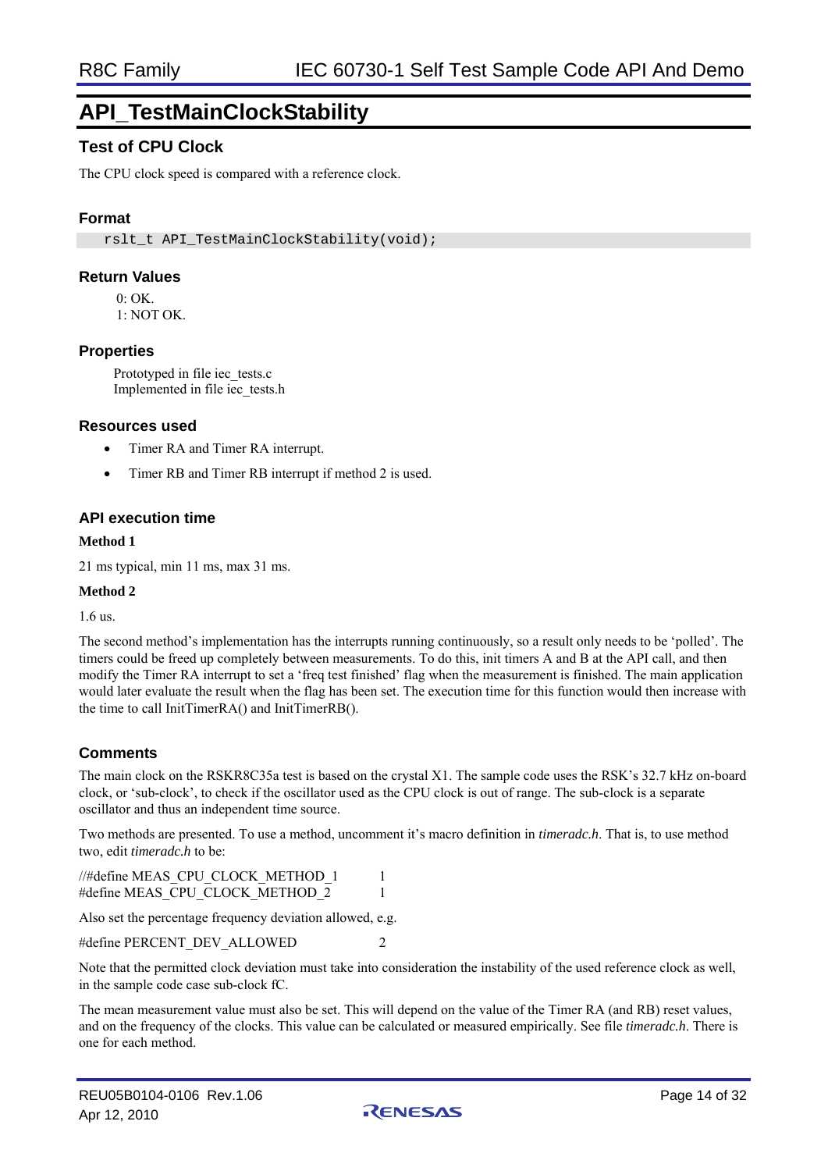# **API\_TestMainClockStability**

# **Test of CPU Clock**

The CPU clock speed is compared with a reference clock.

### **Format**

rslt\_t\_API\_TestMainClockStability(void);

#### **Return Values**

 $0 \cdot \Omega$ K

1: NOT OK.

#### **Properties**

Prototyped in file iec\_tests.c Implemented in file iec\_tests.h

#### **Resources used**

- Timer RA and Timer RA interrupt.
- Timer RB and Timer RB interrupt if method 2 is used.

#### **API execution time**

#### **Method 1**

21 ms typical, min 11 ms, max 31 ms.

#### **Method 2**

1.6 us.

The second method's implementation has the interrupts running continuously, so a result only needs to be 'polled'. The timers could be freed up completely between measurements. To do this, init timers A and B at the API call, and then modify the Timer RA interrupt to set a 'freq test finished' flag when the measurement is finished. The main application would later evaluate the result when the flag has been set. The execution time for this function would then increase with the time to call InitTimerRA() and InitTimerRB().

### **Comments**

The main clock on the RSKR8C35a test is based on the crystal X1. The sample code uses the RSK's 32.7 kHz on-board clock, or 'sub-clock', to check if the oscillator used as the CPU clock is out of range. The sub-clock is a separate oscillator and thus an independent time source.

Two methods are presented. To use a method, uncomment it's macro definition in *timeradc.h*. That is, to use method two, edit *timeradc.h* to be:

| //#define MEAS CPU CLOCK METHOD 1 |  |
|-----------------------------------|--|
| #define MEAS CPU CLOCK METHOD 2   |  |

Also set the percentage frequency deviation allowed, e.g.

#define PERCENT\_DEV\_ALLOWED 2

Note that the permitted clock deviation must take into consideration the instability of the used reference clock as well, in the sample code case sub-clock fC.

The mean measurement value must also be set. This will depend on the value of the Timer RA (and RB) reset values, and on the frequency of the clocks. This value can be calculated or measured empirically. See file *timeradc.h*. There is one for each method.

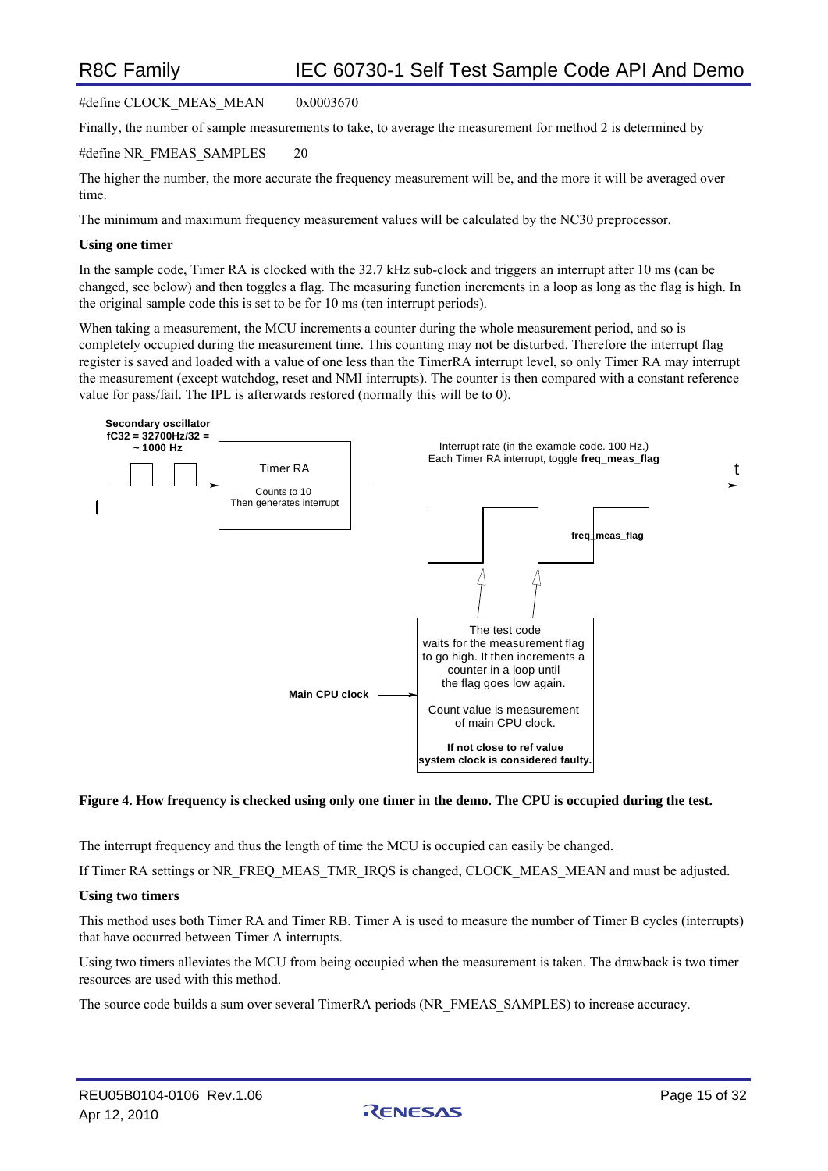#define CLOCK\_MEAS\_MEAN 0x0003670

Finally, the number of sample measurements to take, to average the measurement for method 2 is determined by

#define NR\_FMEAS\_SAMPLES 20

The higher the number, the more accurate the frequency measurement will be, and the more it will be averaged over time.

The minimum and maximum frequency measurement values will be calculated by the NC30 preprocessor.

#### **Using one timer**

In the sample code, Timer RA is clocked with the 32.7 kHz sub-clock and triggers an interrupt after 10 ms (can be changed, see below) and then toggles a flag. The measuring function increments in a loop as long as the flag is high. In the original sample code this is set to be for 10 ms (ten interrupt periods).

When taking a measurement, the MCU increments a counter during the whole measurement period, and so is completely occupied during the measurement time. This counting may not be disturbed. Therefore the interrupt flag register is saved and loaded with a value of one less than the TimerRA interrupt level, so only Timer RA may interrupt the measurement (except watchdog, reset and NMI interrupts). The counter is then compared with a constant reference value for pass/fail. The IPL is afterwards restored (normally this will be to 0).



#### **Figure 4. How frequency is checked using only one timer in the demo. The CPU is occupied during the test.**

The interrupt frequency and thus the length of time the MCU is occupied can easily be changed.

If Timer RA settings or NR\_FREQ\_MEAS\_TMR\_IRQS is changed, CLOCK\_MEAS\_MEAN and must be adjusted.

#### **Using two timers**

This method uses both Timer RA and Timer RB. Timer A is used to measure the number of Timer B cycles (interrupts) that have occurred between Timer A interrupts.

Using two timers alleviates the MCU from being occupied when the measurement is taken. The drawback is two timer resources are used with this method.

The source code builds a sum over several TimerRA periods (NR\_FMEAS\_SAMPLES) to increase accuracy.

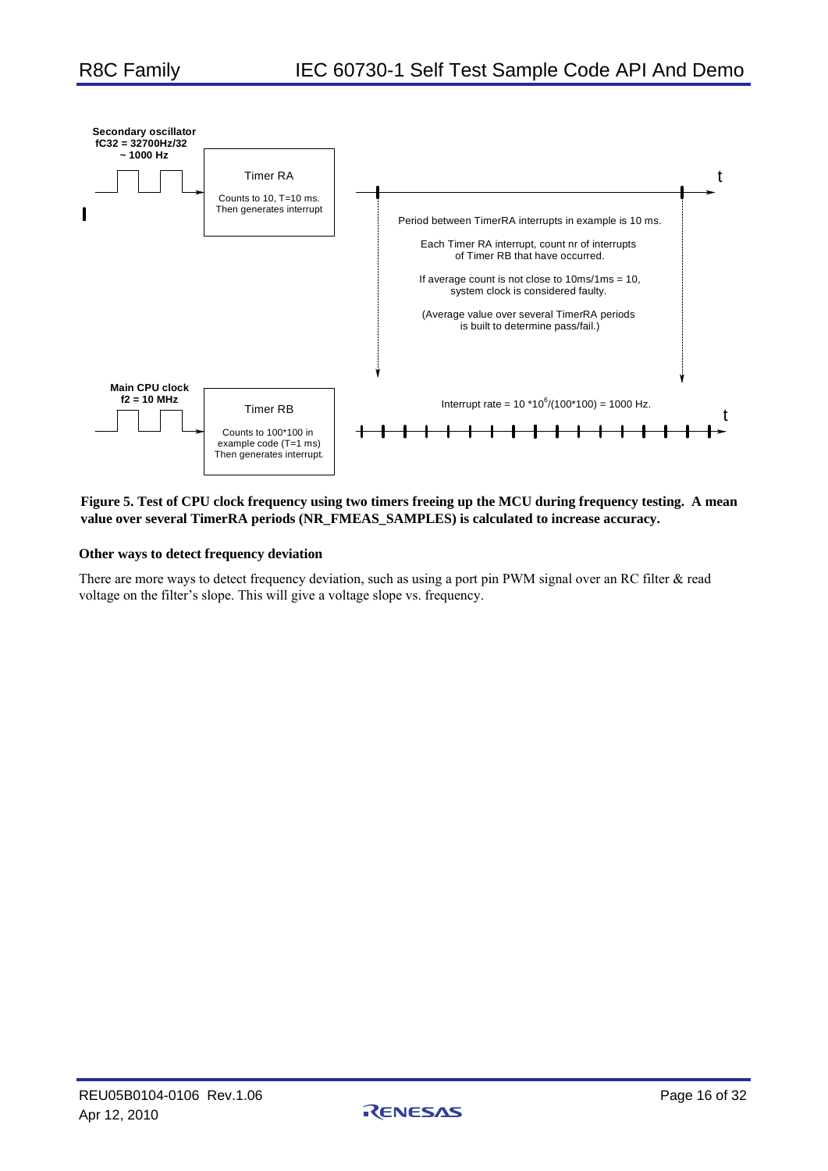

**Figure 5. Test of CPU clock frequency using two timers freeing up the MCU during frequency testing. A mean value over several TimerRA periods (NR\_FMEAS\_SAMPLES) is calculated to increase accuracy.** 

#### **Other ways to detect frequency deviation**

There are more ways to detect frequency deviation, such as using a port pin PWM signal over an RC filter & read voltage on the filter's slope. This will give a voltage slope vs. frequency.

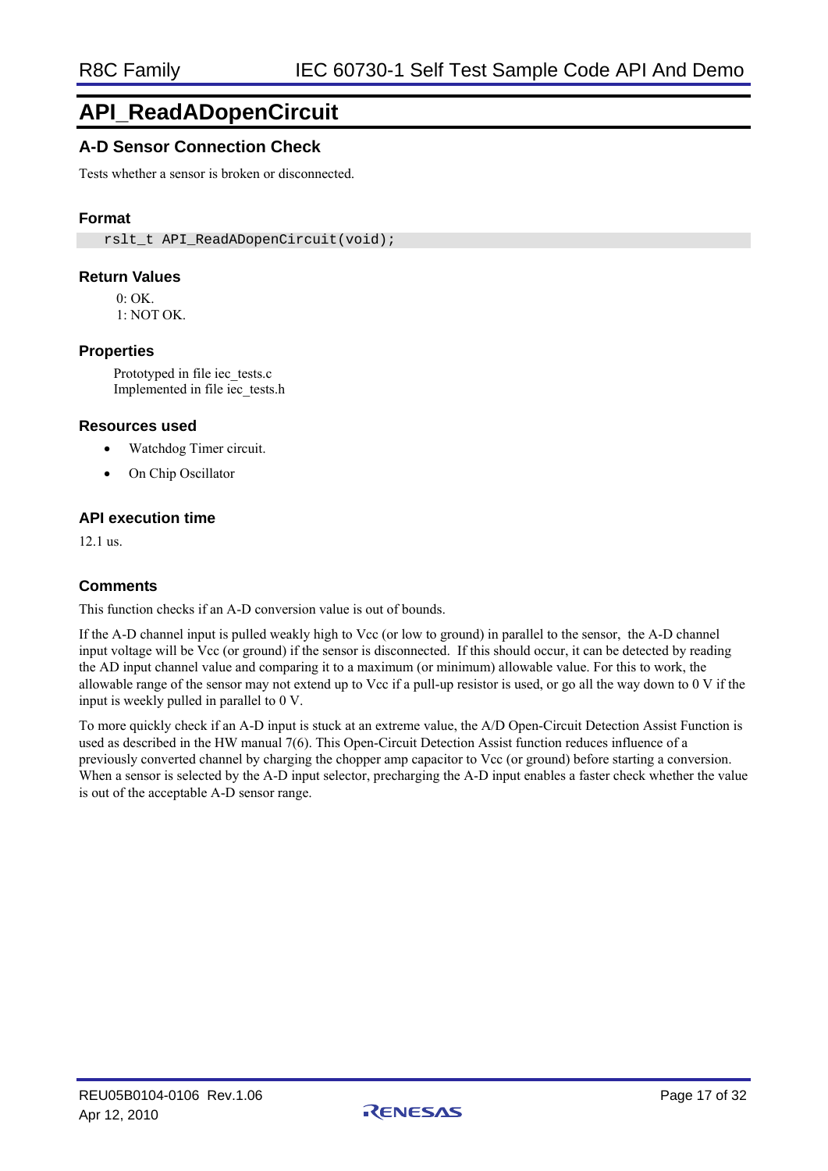# **API\_ReadADopenCircuit**

# **A-D Sensor Connection Check**

Tests whether a sensor is broken or disconnected.

### **Format**

rslt\_t\_API\_ReadADopenCircuit(void);

#### **Return Values**

 $0:$  OK.

1: NOT OK.

#### **Properties**

Prototyped in file iec\_tests.c Implemented in file iec\_tests.h

#### **Resources used**

- Watchdog Timer circuit.
- On Chip Oscillator

### **API execution time**

12.1 us.

#### **Comments**

This function checks if an A-D conversion value is out of bounds.

If the A-D channel input is pulled weakly high to Vcc (or low to ground) in parallel to the sensor, the A-D channel input voltage will be Vcc (or ground) if the sensor is disconnected. If this should occur, it can be detected by reading the AD input channel value and comparing it to a maximum (or minimum) allowable value. For this to work, the allowable range of the sensor may not extend up to Vcc if a pull-up resistor is used, or go all the way down to 0 V if the input is weekly pulled in parallel to 0 V.

To more quickly check if an A-D input is stuck at an extreme value, the A/D Open-Circuit Detection Assist Function is used as described in the HW manual 7(6). This Open-Circuit Detection Assist function reduces influence of a previously converted channel by charging the chopper amp capacitor to Vcc (or ground) before starting a conversion. When a sensor is selected by the A-D input selector, precharging the A-D input enables a faster check whether the value is out of the acceptable A-D sensor range.

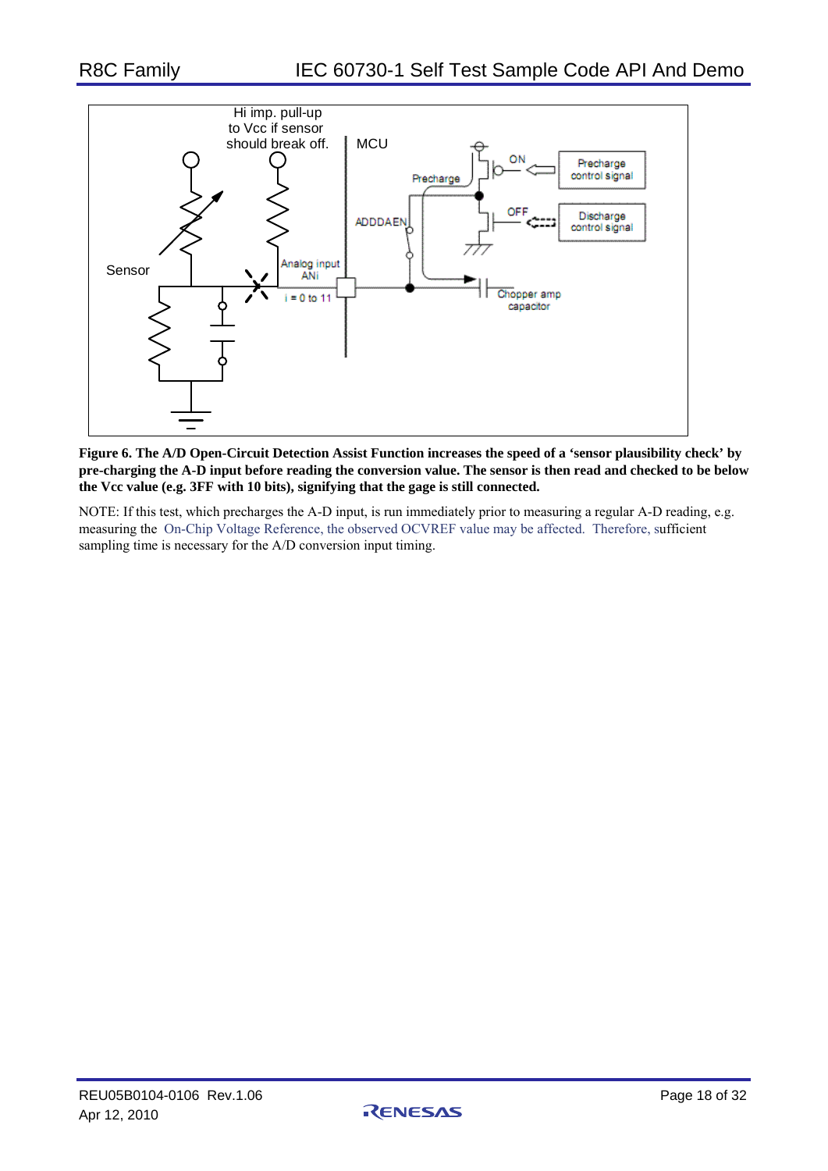

#### **Figure 6. The A/D Open-Circuit Detection Assist Function increases the speed of a 'sensor plausibility check' by pre-charging the A-D input before reading the conversion value. The sensor is then read and checked to be below the Vcc value (e.g. 3FF with 10 bits), signifying that the gage is still connected.**

NOTE: If this test, which precharges the A-D input, is run immediately prior to measuring a regular A-D reading, e.g. measuring the On-Chip Voltage Reference, the observed OCVREF value may be affected. Therefore, sufficient sampling time is necessary for the A/D conversion input timing.

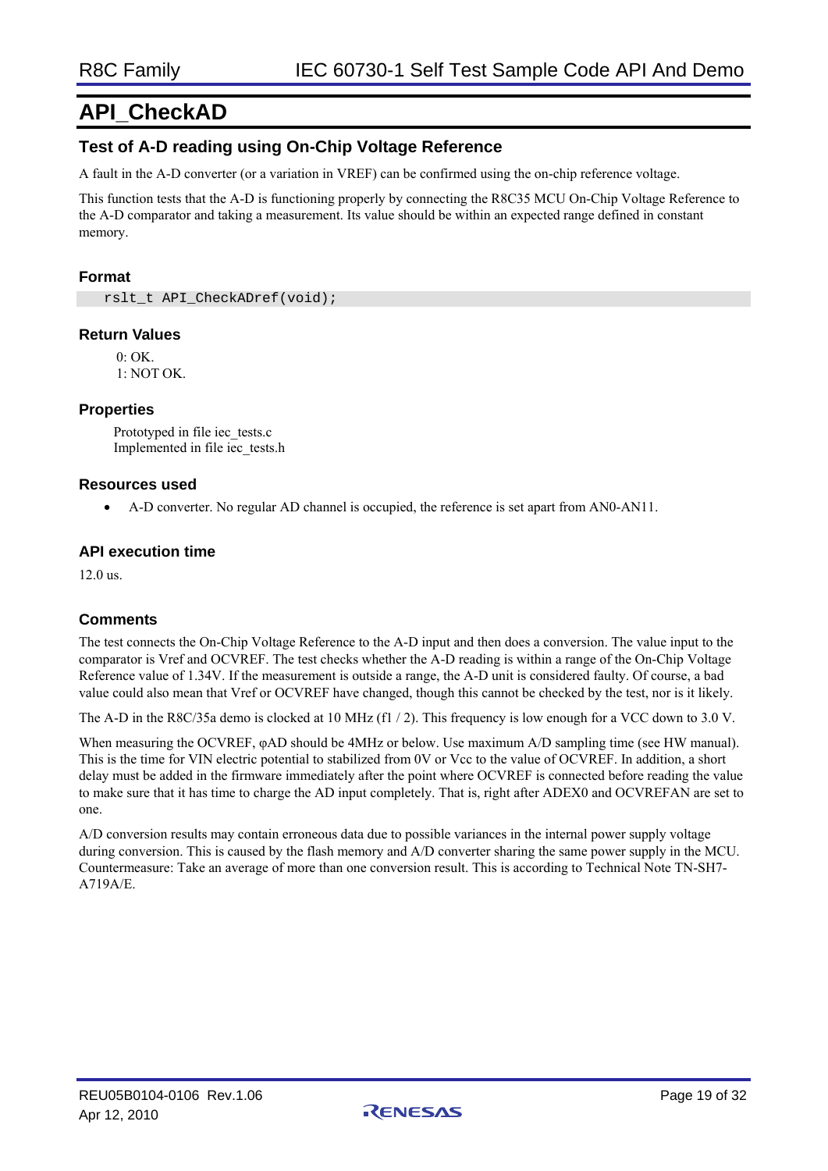# **API\_CheckAD**

### **Test of A-D reading using On-Chip Voltage Reference**

A fault in the A-D converter (or a variation in VREF) can be confirmed using the on-chip reference voltage.

This function tests that the A-D is functioning properly by connecting the R8C35 MCU On-Chip Voltage Reference to the A-D comparator and taking a measurement. Its value should be within an expected range defined in constant memory.

#### **Format**

rslt\_t\_API\_CheckADref(void);

#### **Return Values**

 $0 \cdot \text{OK}$ 1: NOT OK.

#### **Properties**

Prototyped in file iec\_tests.c Implemented in file iec\_tests.h

#### **Resources used**

• A-D converter. No regular AD channel is occupied, the reference is set apart from AN0-AN11.

#### **API execution time**

12.0 us.

### **Comments**

The test connects the On-Chip Voltage Reference to the A-D input and then does a conversion. The value input to the comparator is Vref and OCVREF. The test checks whether the A-D reading is within a range of the On-Chip Voltage Reference value of 1.34V. If the measurement is outside a range, the A-D unit is considered faulty. Of course, a bad value could also mean that Vref or OCVREF have changed, though this cannot be checked by the test, nor is it likely.

The A-D in the R8C/35a demo is clocked at 10 MHz (f1 / 2). This frequency is low enough for a VCC down to 3.0 V.

When measuring the OCVREF, φAD should be 4MHz or below. Use maximum A/D sampling time (see HW manual). This is the time for VIN electric potential to stabilized from 0V or Vcc to the value of OCVREF. In addition, a short delay must be added in the firmware immediately after the point where OCVREF is connected before reading the value to make sure that it has time to charge the AD input completely. That is, right after ADEX0 and OCVREFAN are set to one.

A/D conversion results may contain erroneous data due to possible variances in the internal power supply voltage during conversion. This is caused by the flash memory and A/D converter sharing the same power supply in the MCU. Countermeasure: Take an average of more than one conversion result. This is according to Technical Note TN-SH7- A719A/E.

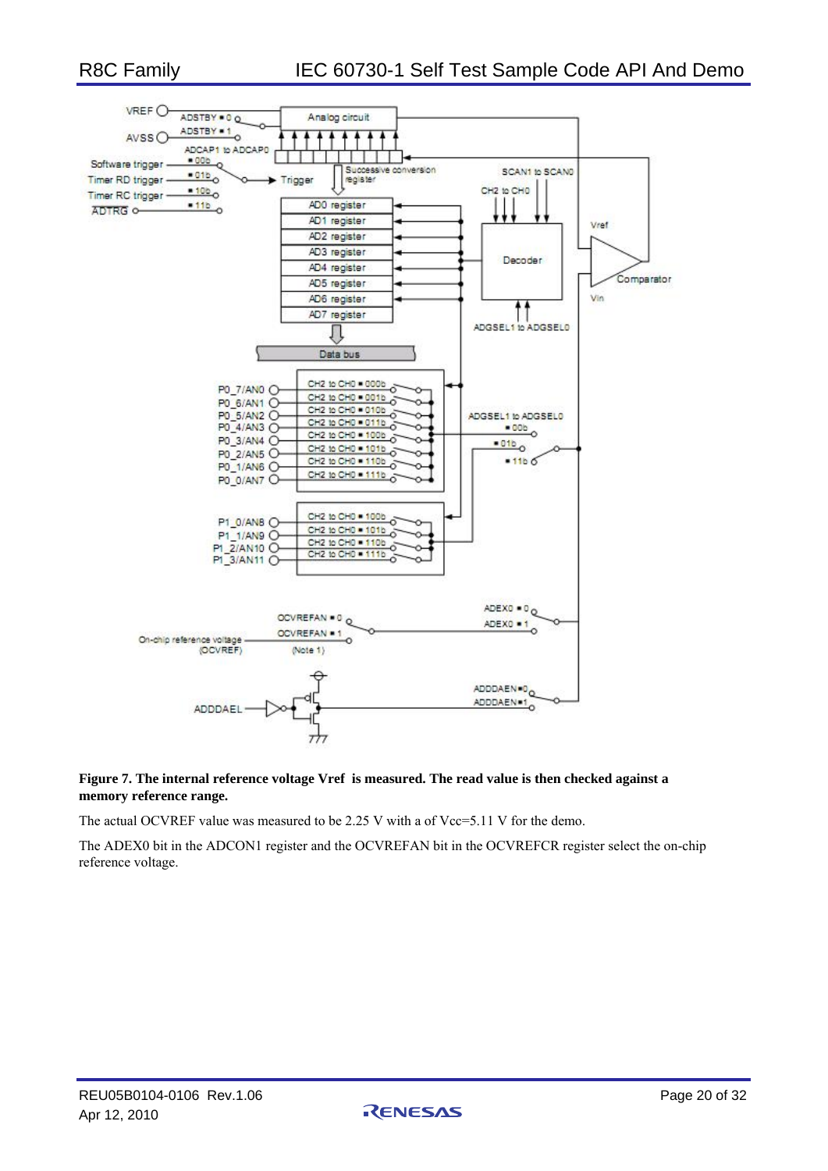

#### **Figure 7. The internal reference voltage Vref is measured. The read value is then checked against a memory reference range.**

The actual OCVREF value was measured to be 2.25 V with a of Vcc=5.11 V for the demo.

The ADEX0 bit in the ADCON1 register and the OCVREFAN bit in the OCVREFCR register select the on-chip reference voltage.

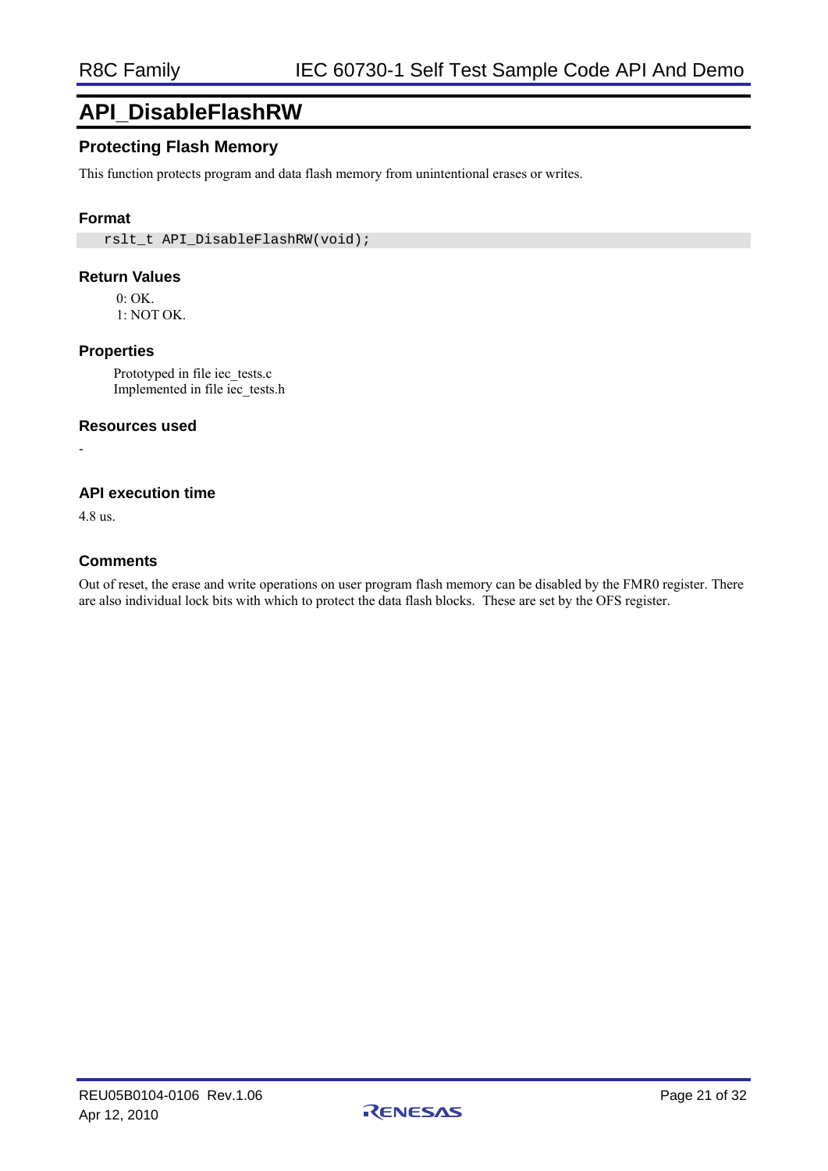# **API\_DisableFlashRW**

# **Protecting Flash Memory**

This function protects program and data flash memory from unintentional erases or writes.

### **Format**

rslt\_t\_API\_DisableFlashRW(void);

#### **Return Values**

0: OK. 1: NOT OK.

#### **Properties**

Prototyped in file iec\_tests.c Implemented in file iec\_tests.h

#### **Resources used**

**API execution time** 

4.8 us.

-

#### **Comments**

Out of reset, the erase and write operations on user program flash memory can be disabled by the FMR0 register. There are also individual lock bits with which to protect the data flash blocks. These are set by the OFS register.

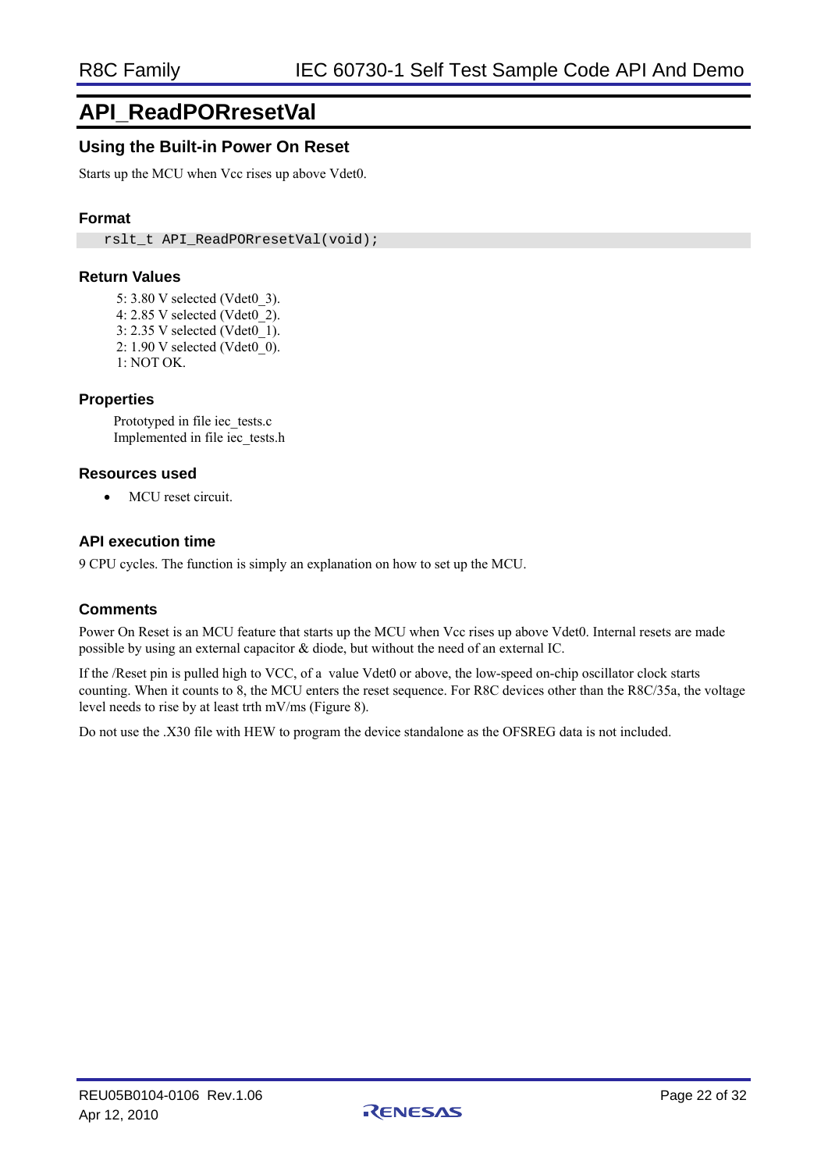# **API\_ReadPORresetVal**

# **Using the Built-in Power On Reset**

Starts up the MCU when Vcc rises up above Vdet0.

### **Format**

rslt\_t\_API\_ReadPORresetVal(void);

### **Return Values**

- 5: 3.80 V selected (Vdet0\_3).
- 4: 2.85 V selected (Vdet0\_2).
- 3: 2.35 V selected (Vdet0\_1).
- 2: 1.90 V selected (Vdet0\_0).
- 1: NOT OK.

### **Properties**

Prototyped in file iec\_tests.c Implemented in file iec\_tests.h

#### **Resources used**

• MCU reset circuit.

#### **API execution time**

9 CPU cycles. The function is simply an explanation on how to set up the MCU.

### **Comments**

Power On Reset is an MCU feature that starts up the MCU when Vcc rises up above Vdet0. Internal resets are made possible by using an external capacitor & diode, but without the need of an external IC.

If the /Reset pin is pulled high to VCC, of a value Vdet0 or above, the low-speed on-chip oscillator clock starts counting. When it counts to 8, the MCU enters the reset sequence. For R8C devices other than the R8C/35a, the voltage level needs to rise by at least trth mV/ms (Figure 8).

Do not use the .X30 file with HEW to program the device standalone as the OFSREG data is not included.

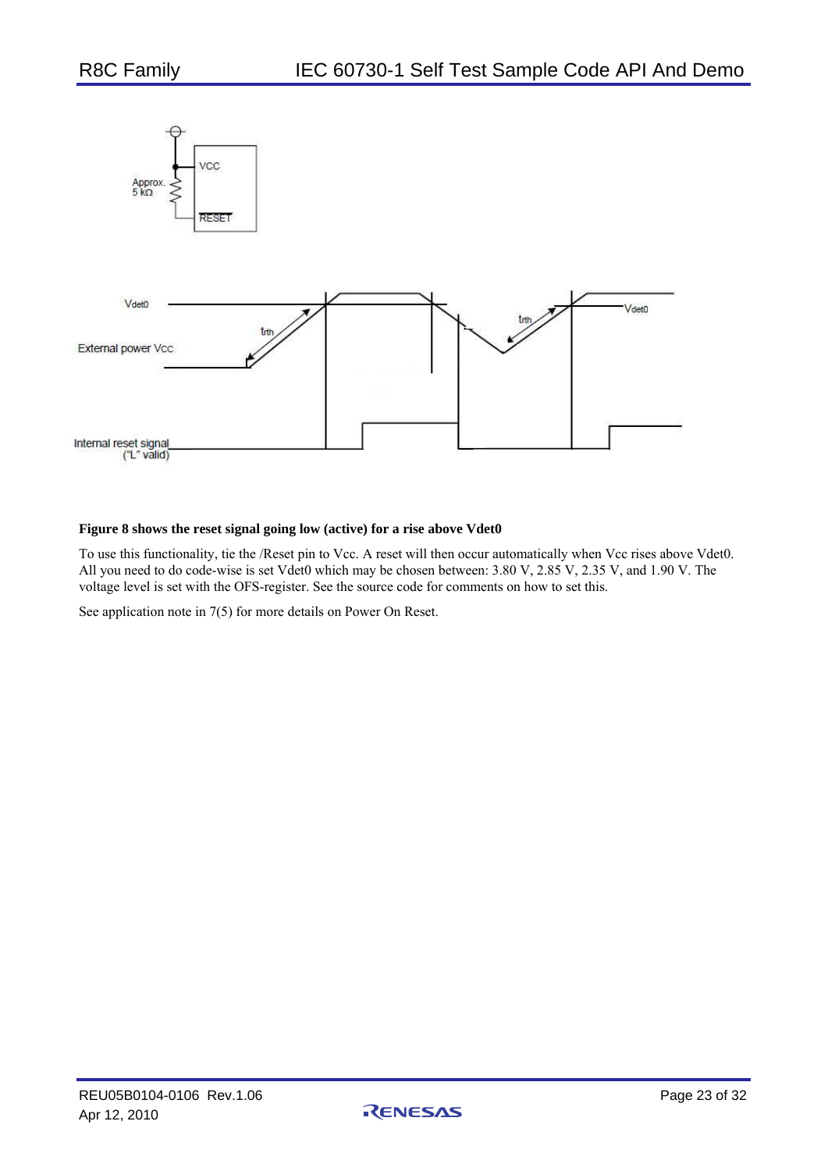

#### **Figure 8 shows the reset signal going low (active) for a rise above Vdet0**

To use this functionality, tie the /Reset pin to Vcc. A reset will then occur automatically when Vcc rises above Vdet0. All you need to do code-wise is set Vdet0 which may be chosen between: 3.80 V, 2.85 V, 2.35 V, and 1.90 V. The voltage level is set with the OFS-register. See the source code for comments on how to set this.

See application note in 7(5) for more details on Power On Reset.

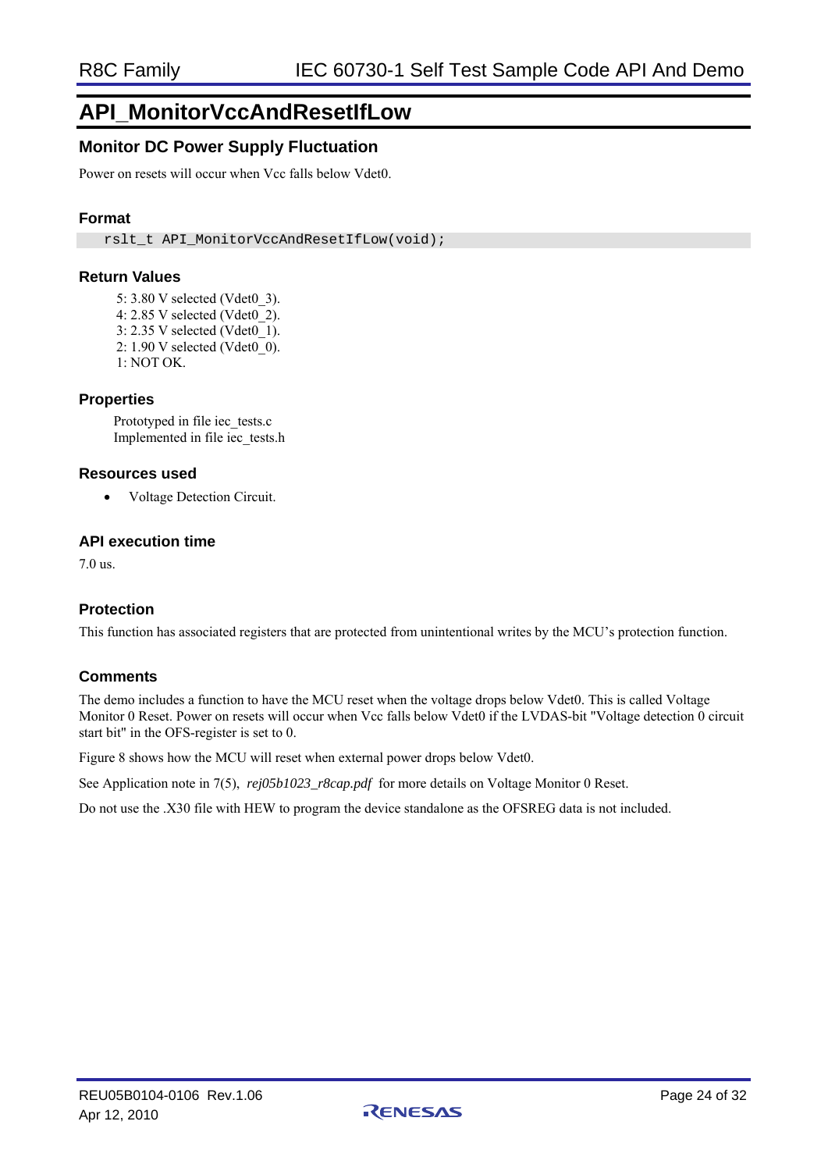# **API\_MonitorVccAndResetIfLow**

# **Monitor DC Power Supply Fluctuation**

Power on resets will occur when Vcc falls below Vdet0.

### **Format**

rslt\_t\_API\_MonitorVccAndResetIfLow(void);

#### **Return Values**

- 5: 3.80 V selected (Vdet0\_3).
- 4: 2.85 V selected (Vdet0\_2).
- 3: 2.35 V selected (Vdet0\_1).
- 2: 1.90 V selected (Vdet0\_0).
- 1: NOT OK.

#### **Properties**

Prototyped in file iec\_tests.c Implemented in file iec\_tests.h

#### **Resources used**

• Voltage Detection Circuit.

#### **API execution time**

7.0 us.

### **Protection**

This function has associated registers that are protected from unintentional writes by the MCU's protection function.

#### **Comments**

The demo includes a function to have the MCU reset when the voltage drops below Vdet0. This is called Voltage Monitor 0 Reset. Power on resets will occur when Vcc falls below Vdet0 if the LVDAS-bit "Voltage detection 0 circuit start bit" in the OFS-register is set to 0.

Figure 8 shows how the MCU will reset when external power drops below Vdet0.

See Application note in 7(5), *rej05b1023\_r8cap.pdf* for more details on Voltage Monitor 0 Reset.

Do not use the .X30 file with HEW to program the device standalone as the OFSREG data is not included.

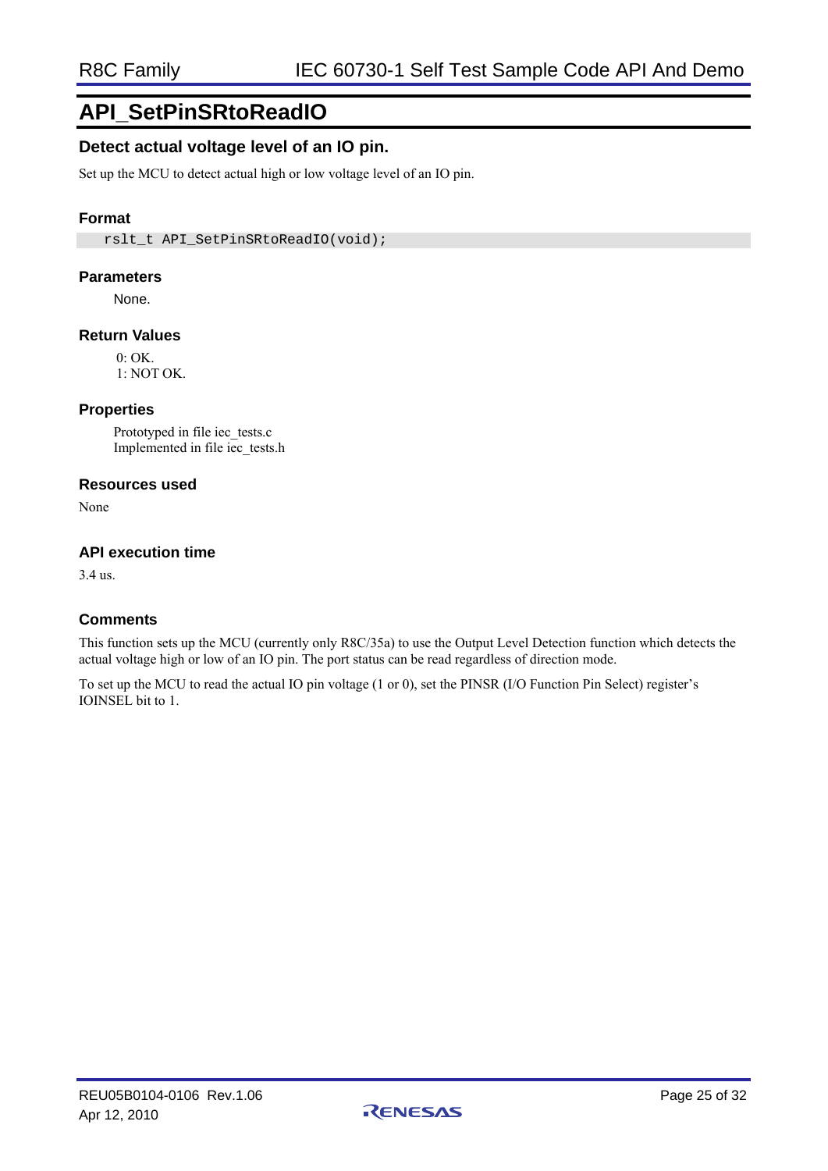# **API\_SetPinSRtoReadIO**

### **Detect actual voltage level of an IO pin.**

Set up the MCU to detect actual high or low voltage level of an IO pin.

### **Format**

rslt\_t\_API\_SetPinSRtoReadIO(void);

#### **Parameters**

None.

#### **Return Values**

 $0:$  OK. 1: NOT OK.

### **Properties**

Prototyped in file iec\_tests.c Implemented in file iec\_tests.h

#### **Resources used**

None

#### **API execution time**

3.4 us.

### **Comments**

This function sets up the MCU (currently only R8C/35a) to use the Output Level Detection function which detects the actual voltage high or low of an IO pin. The port status can be read regardless of direction mode.

To set up the MCU to read the actual IO pin voltage (1 or 0), set the PINSR (I/O Function Pin Select) register's IOINSEL bit to 1.

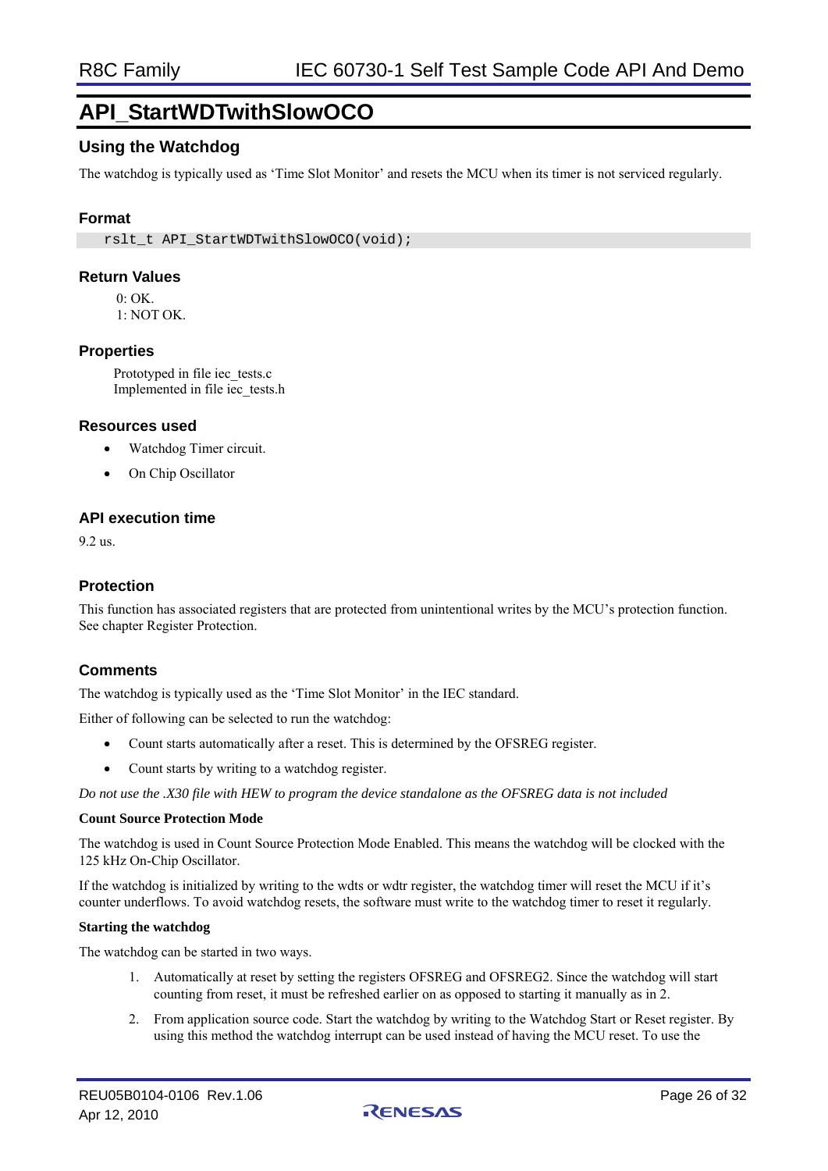# **API\_StartWDTwithSlowOCO**

# **Using the Watchdog**

The watchdog is typically used as 'Time Slot Monitor' and resets the MCU when its timer is not serviced regularly.

### **Format**

rslt\_t\_API\_StartWDTwithSlowOCO(void);

#### **Return Values**

 $0 \cdot \Omega$ K

1: NOT OK.

#### **Properties**

Prototyped in file iec\_tests.c Implemented in file iec\_tests.h

#### **Resources used**

- Watchdog Timer circuit.
- On Chip Oscillator

#### **API execution time**

9.2 us.

#### **Protection**

This function has associated registers that are protected from unintentional writes by the MCU's protection function. See chapter Register Protection.

#### **Comments**

The watchdog is typically used as the 'Time Slot Monitor' in the IEC standard.

Either of following can be selected to run the watchdog:

- Count starts automatically after a reset. This is determined by the OFSREG register.
- Count starts by writing to a watchdog register.

*Do not use the .X30 file with HEW to program the device standalone as the OFSREG data is not included* 

#### **Count Source Protection Mode**

The watchdog is used in Count Source Protection Mode Enabled. This means the watchdog will be clocked with the 125 kHz On-Chip Oscillator.

If the watchdog is initialized by writing to the wdts or wdtr register, the watchdog timer will reset the MCU if it's counter underflows. To avoid watchdog resets, the software must write to the watchdog timer to reset it regularly.

#### **Starting the watchdog**

The watchdog can be started in two ways.

- 1. Automatically at reset by setting the registers OFSREG and OFSREG2. Since the watchdog will start counting from reset, it must be refreshed earlier on as opposed to starting it manually as in 2.
- 2. From application source code. Start the watchdog by writing to the Watchdog Start or Reset register. By using this method the watchdog interrupt can be used instead of having the MCU reset. To use the

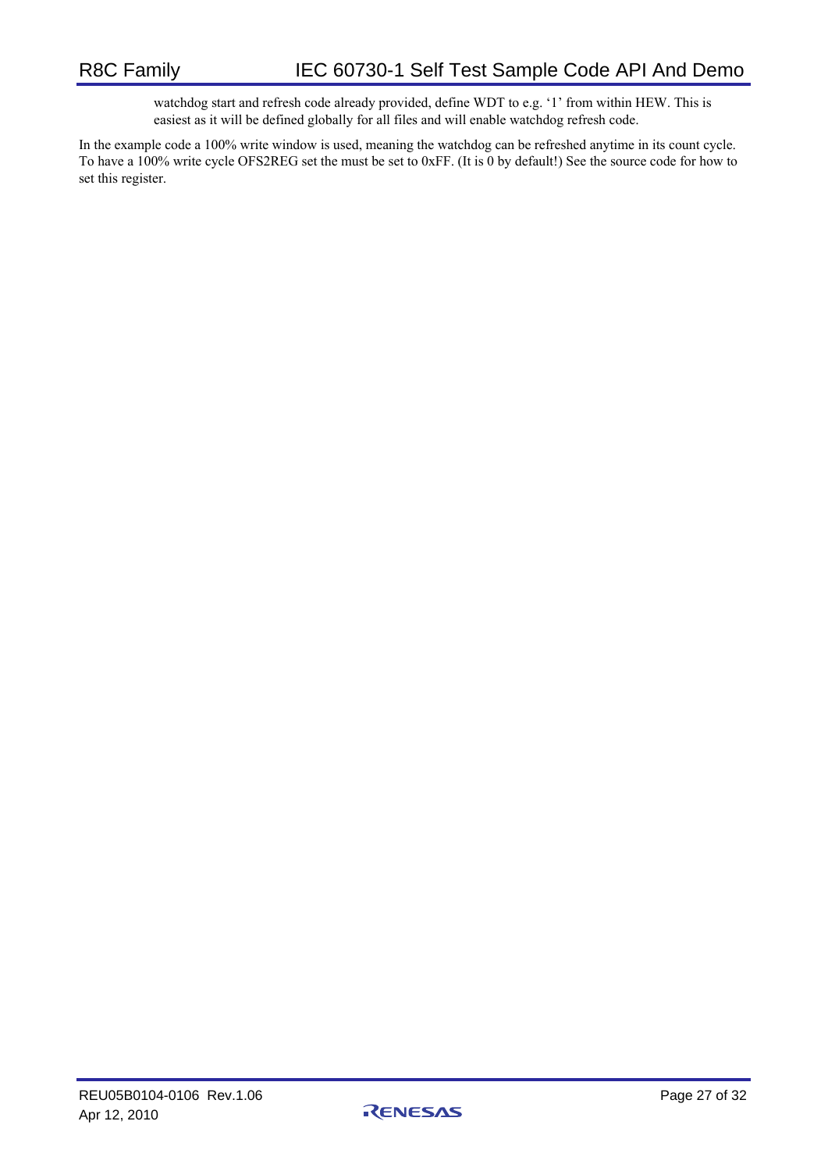watchdog start and refresh code already provided, define WDT to e.g. '1' from within HEW. This is easiest as it will be defined globally for all files and will enable watchdog refresh code.

In the example code a 100% write window is used, meaning the watchdog can be refreshed anytime in its count cycle. To have a 100% write cycle OFS2REG set the must be set to 0xFF. (It is 0 by default!) See the source code for how to set this register.

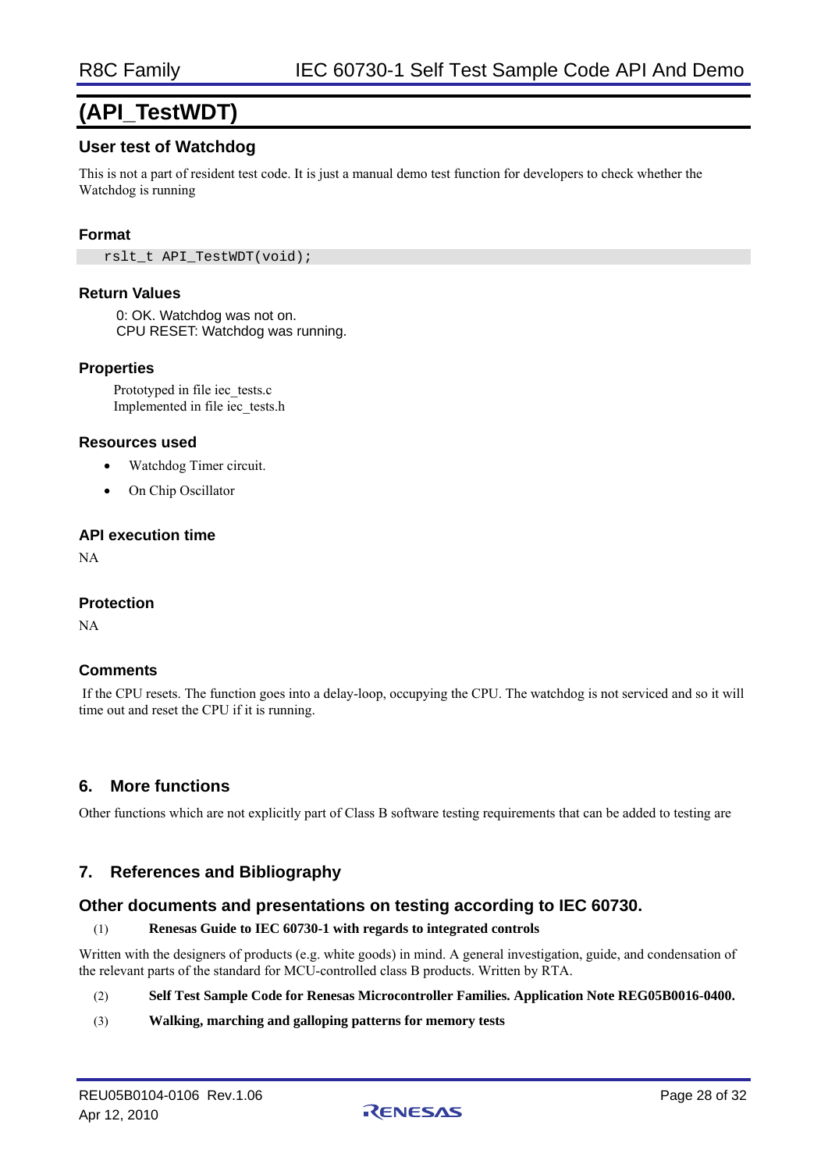# **(API\_TestWDT)**

### **User test of Watchdog**

This is not a part of resident test code. It is just a manual demo test function for developers to check whether the Watchdog is running

#### **Format**

rslt\_t\_API\_TestWDT(void);

#### **Return Values**

0: OK. Watchdog was not on. CPU RESET: Watchdog was running.

#### **Properties**

Prototyped in file iec\_tests.c Implemented in file iec\_tests.h

#### **Resources used**

- Watchdog Timer circuit.
- On Chip Oscillator

#### **API execution time**

NA

#### **Protection**

NA

#### **Comments**

 If the CPU resets. The function goes into a delay-loop, occupying the CPU. The watchdog is not serviced and so it will time out and reset the CPU if it is running.

# **6. More functions**

Other functions which are not explicitly part of Class B software testing requirements that can be added to testing are

# **7. References and Bibliography**

### **Other documents and presentations on testing according to IEC 60730.**

#### (1) **Renesas Guide to IEC 60730-1 with regards to integrated controls**

Written with the designers of products (e.g. white goods) in mind. A general investigation, guide, and condensation of the relevant parts of the standard for MCU-controlled class B products. Written by RTA.

#### (2) **Self Test Sample Code for Renesas Microcontroller Families. Application Note REG05B0016-0400.**

(3) **Walking, marching and galloping patterns for memory tests**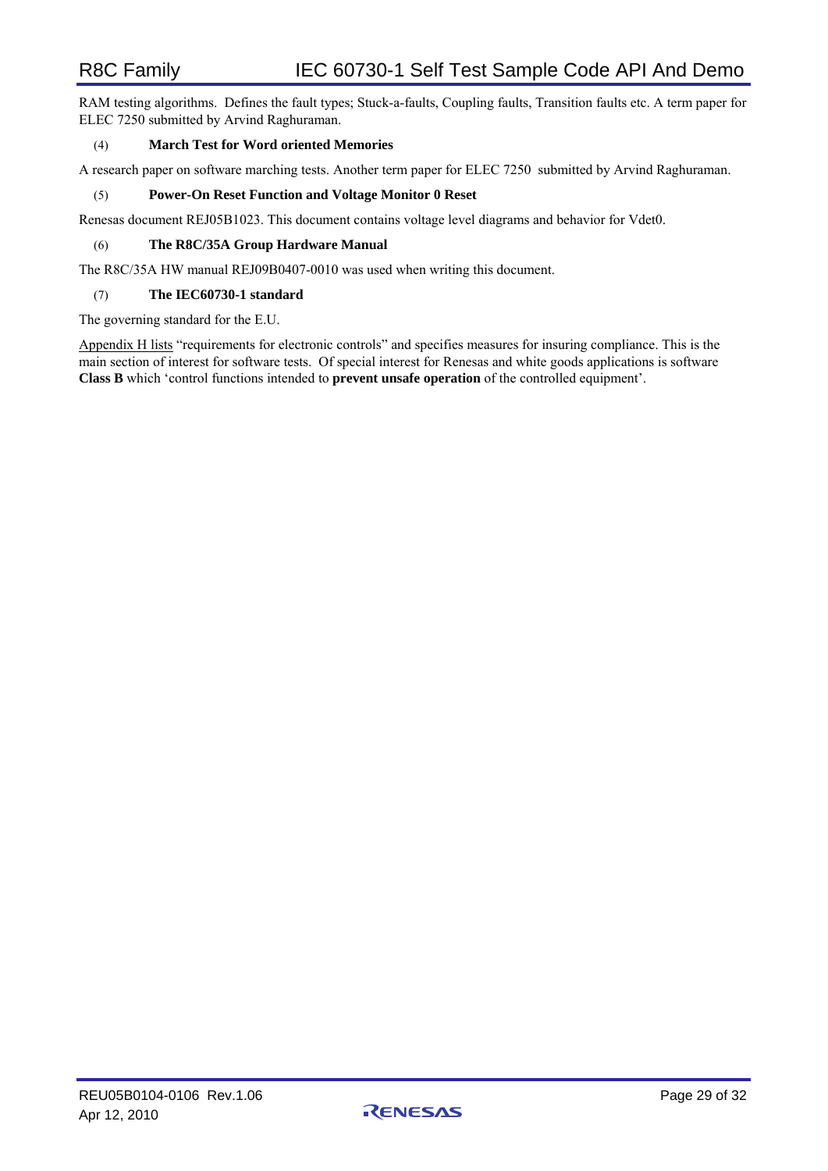RAM testing algorithms. Defines the fault types; Stuck-a-faults, Coupling faults, Transition faults etc. A term paper for ELEC 7250 submitted by Arvind Raghuraman.

#### (4) **March Test for Word oriented Memories**

A research paper on software marching tests. Another term paper for ELEC 7250 submitted by Arvind Raghuraman.

#### (5) **Power-On Reset Function and Voltage Monitor 0 Reset**

Renesas document REJ05B1023. This document contains voltage level diagrams and behavior for Vdet0.

#### (6) **The R8C/35A Group Hardware Manual**

The R8C/35A HW manual REJ09B0407-0010 was used when writing this document.

#### (7) **The IEC60730-1 standard**

The governing standard for the E.U.

Appendix H lists "requirements for electronic controls" and specifies measures for insuring compliance. This is the main section of interest for software tests. Of special interest for Renesas and white goods applications is software **Class B** which 'control functions intended to **prevent unsafe operation** of the controlled equipment'.

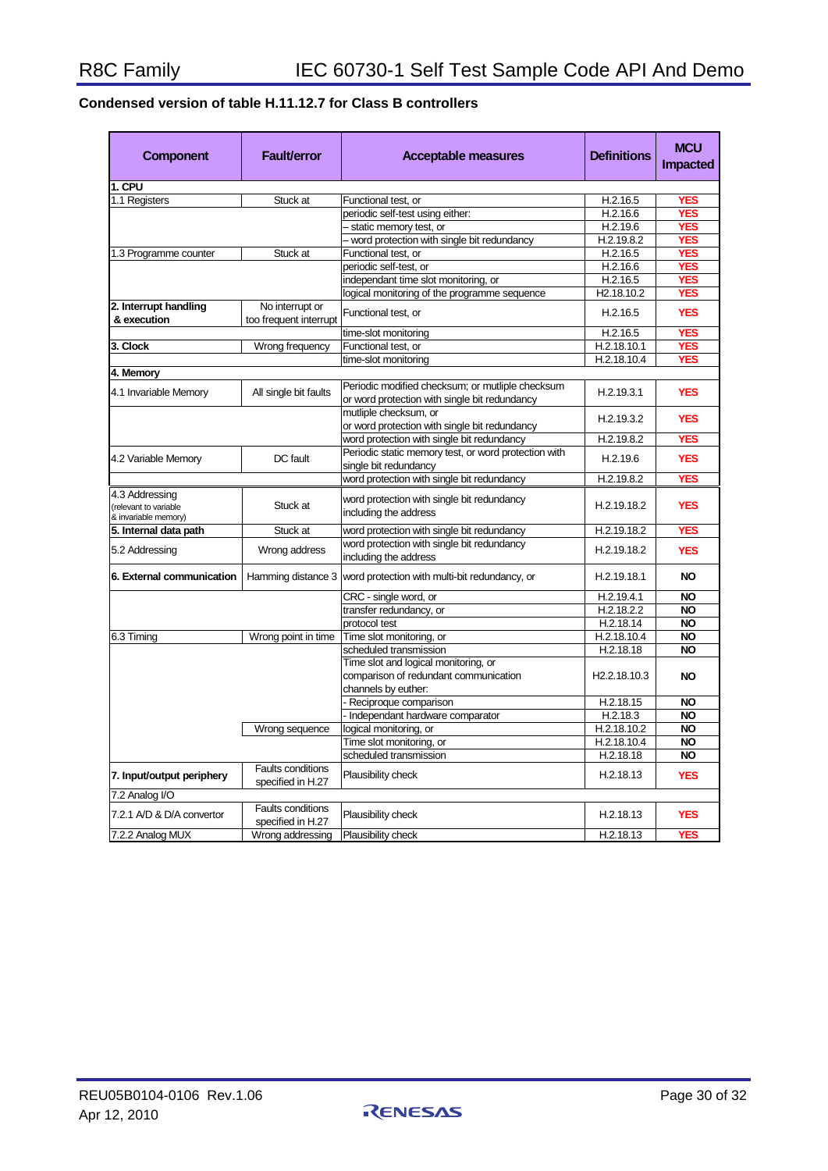# **Condensed version of table H.11.12.7 for Class B controllers**

| <b>Component</b>                                                | <b>Fault/error</b>                            | <b>Acceptable measures</b>                                                                           | <b>Definitions</b>        | <b>MCU</b><br><b>Impacted</b> |
|-----------------------------------------------------------------|-----------------------------------------------|------------------------------------------------------------------------------------------------------|---------------------------|-------------------------------|
| 1. CPU                                                          |                                               |                                                                                                      |                           |                               |
| 1.1 Registers                                                   | Stuck at                                      | Functional test, or                                                                                  | H.2.16.5                  | <b>YES</b>                    |
|                                                                 |                                               | periodic self-test using either:                                                                     | H.2.16.6                  | <b>YES</b>                    |
|                                                                 |                                               | static memory test, or                                                                               | H.2.19.6                  | <b>YES</b>                    |
|                                                                 |                                               | - word protection with single bit redundancy                                                         | H.2.19.8.2                | <b>YES</b>                    |
| 1.3 Programme counter                                           | Stuck at                                      | Functional test, or                                                                                  | H.2.16.5                  | <b>YES</b>                    |
|                                                                 |                                               | periodic self-test, or                                                                               | H.2.16.6                  | <b>YES</b>                    |
|                                                                 |                                               | independant time slot monitoring, or                                                                 | H.2.16.5                  | <b>YES</b>                    |
|                                                                 |                                               | logical monitoring of the programme sequence                                                         | H <sub>2.18.10.2</sub>    | <b>YES</b>                    |
| 2. Interrupt handling                                           | No interrupt or                               |                                                                                                      |                           |                               |
| & execution                                                     | too frequent interrupt                        | Functional test, or                                                                                  | H.2.16.5                  | <b>YES</b>                    |
|                                                                 |                                               | time-slot monitoring                                                                                 | H.2.16.5                  | <b>YES</b>                    |
| 3. Clock                                                        | Wrong frequency                               | Functional test, or                                                                                  | H.2.18.10.1               | <b>YES</b>                    |
|                                                                 |                                               | time-slot monitoring                                                                                 | H.2.18.10.4               | <b>YES</b>                    |
| 4. Memory                                                       |                                               |                                                                                                      |                           |                               |
| 4.1 Invariable Memory                                           | All single bit faults                         | Periodic modified checksum; or mutliple checksum<br>or word protection with single bit redundancy    | H.2.19.3.1                | <b>YES</b>                    |
|                                                                 |                                               | mutliple checksum, or                                                                                | H.2.19.3.2                | <b>YES</b>                    |
|                                                                 |                                               | or word protection with single bit redundancy                                                        |                           |                               |
|                                                                 |                                               | word protection with single bit redundancy                                                           | H.2.19.8.2                | <b>YES</b>                    |
| 4.2 Variable Memory                                             | DC fault                                      | Periodic static memory test, or word protection with<br>single bit redundancy                        | H.2.19.6                  | <b>YES</b>                    |
|                                                                 |                                               | word protection with single bit redundancy                                                           | H.2.19.8.2                | <b>YES</b>                    |
| 4.3 Addressing<br>(relevant to variable<br>& invariable memory) | Stuck at                                      | word protection with single bit redundancy<br>including the address                                  | H.2.19.18.2               | <b>YES</b>                    |
| 5. Internal data path                                           | Stuck at                                      | word protection with single bit redundancy                                                           | H.2.19.18.2               | <b>YES</b>                    |
|                                                                 |                                               | word protection with single bit redundancy                                                           |                           |                               |
| 5.2 Addressing                                                  | Wrong address                                 | including the address                                                                                | H.2.19.18.2               | <b>YES</b>                    |
| 6. External communication                                       | Hamming distance 3                            | word protection with multi-bit redundancy, or                                                        | H.2.19.18.1               | <b>NO</b>                     |
|                                                                 |                                               | CRC - single word, or                                                                                | H.2.19.4.1                | <b>NO</b>                     |
|                                                                 |                                               | transfer redundancy, or                                                                              | H.2.18.2.2                | <b>NO</b>                     |
|                                                                 |                                               | protocol test                                                                                        | H.2.18.14                 | <b>NO</b>                     |
| 6.3 Timing                                                      | Wrong point in time                           | Time slot monitoring, or                                                                             | H.2.18.10.4               | <b>NO</b>                     |
|                                                                 |                                               | scheduled transmission                                                                               | H.2.18.18                 | <b>NO</b>                     |
|                                                                 |                                               | Time slot and logical monitoring, or<br>comparison of redundant communication<br>channels by euther: | H <sub>2.2</sub> .18.10.3 | <b>NO</b>                     |
|                                                                 |                                               | - Reciproque comparison                                                                              | H.2.18.15                 | <b>NO</b>                     |
|                                                                 |                                               | - Independant hardware comparator                                                                    | H.2.18.3                  | <b>NO</b>                     |
|                                                                 | Wrong sequence                                | logical monitoring, or                                                                               | H.2.18.10.2               | <b>NO</b>                     |
|                                                                 |                                               | Time slot monitoring, or                                                                             | H.2.18.10.4               | <b>NO</b>                     |
|                                                                 |                                               | scheduled transmission                                                                               | H.2.18.18                 | <b>NO</b>                     |
| 7. Input/output periphery                                       | <b>Faults conditions</b><br>specified in H.27 | Plausibility check                                                                                   | H.2.18.13                 | <b>YES</b>                    |
| 7.2 Analog I/O                                                  |                                               |                                                                                                      |                           |                               |
| 7.2.1 A/D & D/A convertor                                       | <b>Faults conditions</b><br>specified in H.27 | Plausibility check                                                                                   | H.2.18.13                 | <b>YES</b>                    |
| 7.2.2 Analog MUX                                                | Wrong addressing                              | Plausibility check                                                                                   | H.2.18.13                 | <b>YES</b>                    |

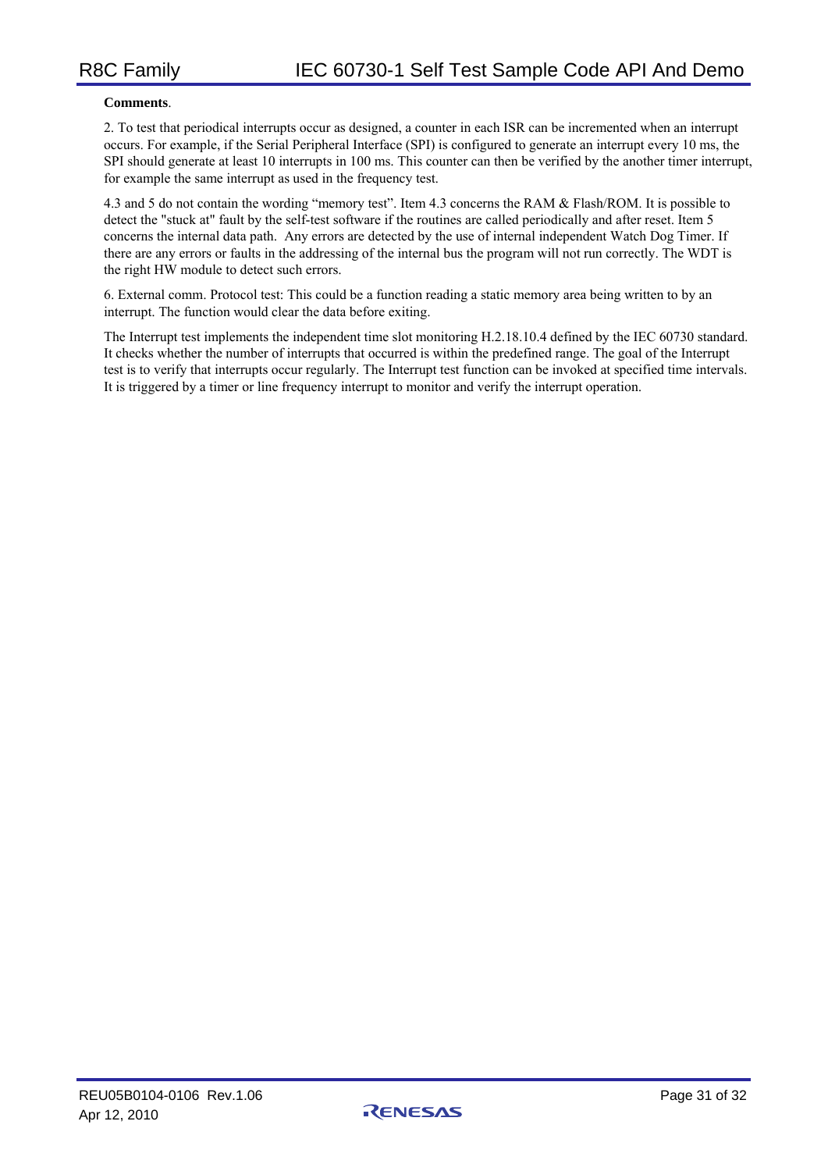#### **Comments**.

2. To test that periodical interrupts occur as designed, a counter in each ISR can be incremented when an interrupt occurs. For example, if the Serial Peripheral Interface (SPI) is configured to generate an interrupt every 10 ms, the SPI should generate at least 10 interrupts in 100 ms. This counter can then be verified by the another timer interrupt, for example the same interrupt as used in the frequency test.

4.3 and 5 do not contain the wording "memory test". Item 4.3 concerns the RAM & Flash/ROM. It is possible to detect the "stuck at" fault by the self-test software if the routines are called periodically and after reset. Item 5 concerns the internal data path. Any errors are detected by the use of internal independent Watch Dog Timer. If there are any errors or faults in the addressing of the internal bus the program will not run correctly. The WDT is the right HW module to detect such errors.

6. External comm. Protocol test: This could be a function reading a static memory area being written to by an interrupt. The function would clear the data before exiting.

The Interrupt test implements the independent time slot monitoring H.2.18.10.4 defined by the IEC 60730 standard. It checks whether the number of interrupts that occurred is within the predefined range. The goal of the Interrupt test is to verify that interrupts occur regularly. The Interrupt test function can be invoked at specified time intervals. It is triggered by a timer or line frequency interrupt to monitor and verify the interrupt operation.

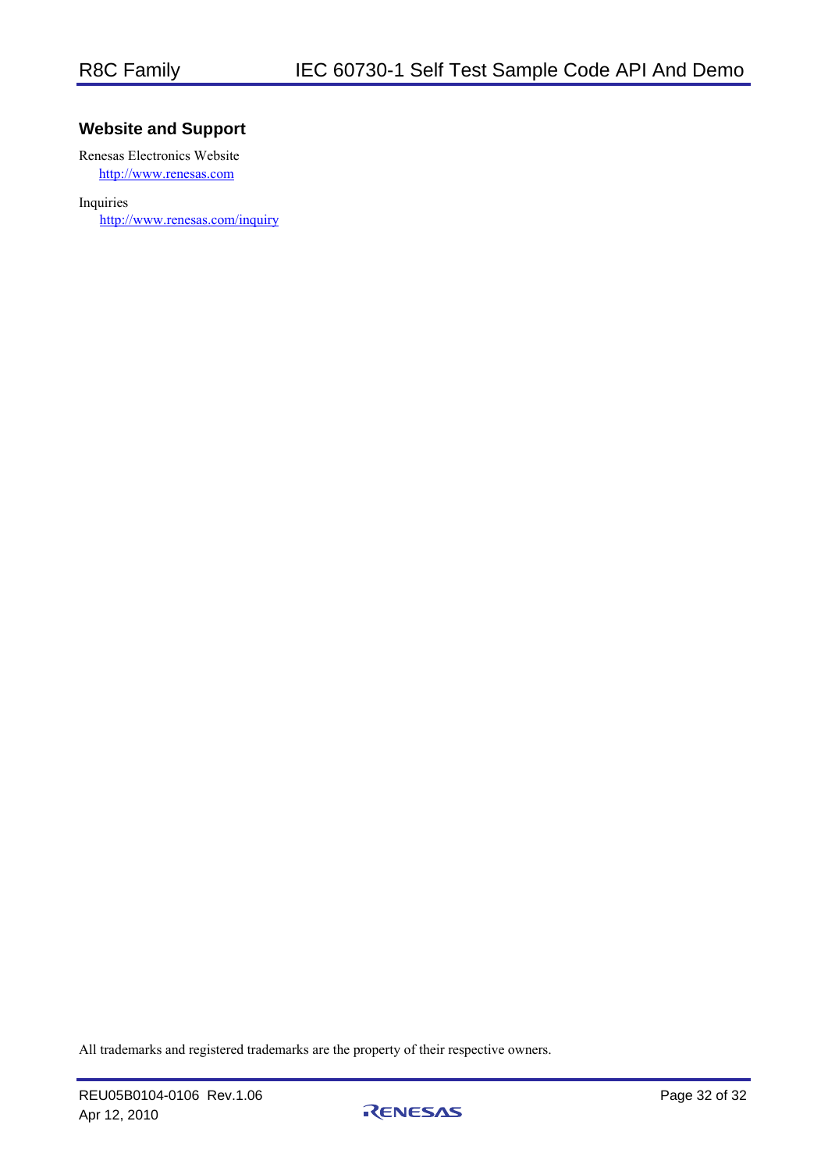# **Website and Support**

Renesas Electronics Website http://www.renesas.com

Inquiries

http://www.renesas.com/inquiry

All trademarks and registered trademarks are the property of their respective owners.

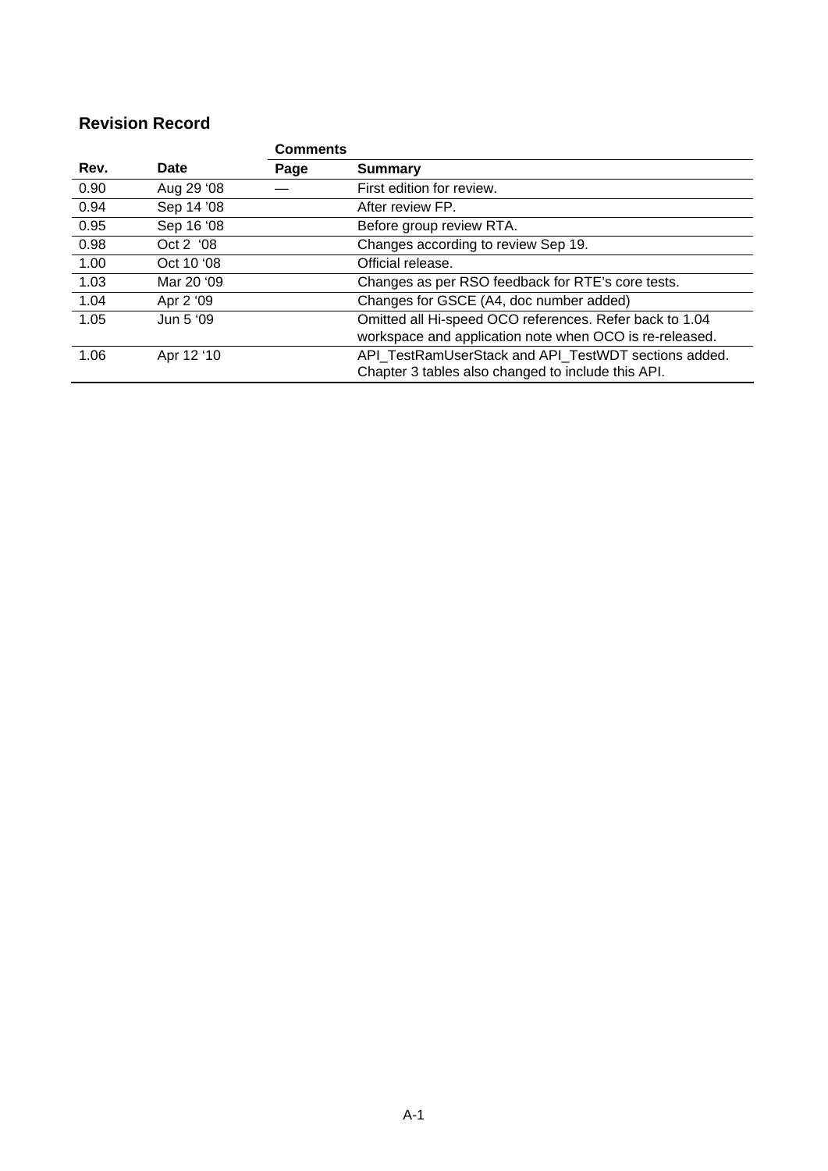# **Revision Record**

|      |            | <b>Comments</b> |                                                                                                                    |
|------|------------|-----------------|--------------------------------------------------------------------------------------------------------------------|
| Rev. | Date       | Page            | Summary                                                                                                            |
| 0.90 | Aug 29 '08 |                 | First edition for review.                                                                                          |
| 0.94 | Sep 14 '08 |                 | After review FP.                                                                                                   |
| 0.95 | Sep 16 '08 |                 | Before group review RTA.                                                                                           |
| 0.98 | Oct 2 '08  |                 | Changes according to review Sep 19.                                                                                |
| 1.00 | Oct 10 '08 |                 | Official release.                                                                                                  |
| 1.03 | Mar 20 '09 |                 | Changes as per RSO feedback for RTE's core tests.                                                                  |
| 1.04 | Apr 2 '09  |                 | Changes for GSCE (A4, doc number added)                                                                            |
| 1.05 | Jun 5 '09  |                 | Omitted all Hi-speed OCO references. Refer back to 1.04<br>workspace and application note when OCO is re-released. |
| 1.06 | Apr 12 '10 |                 | API TestRamUserStack and API TestWDT sections added.<br>Chapter 3 tables also changed to include this API.         |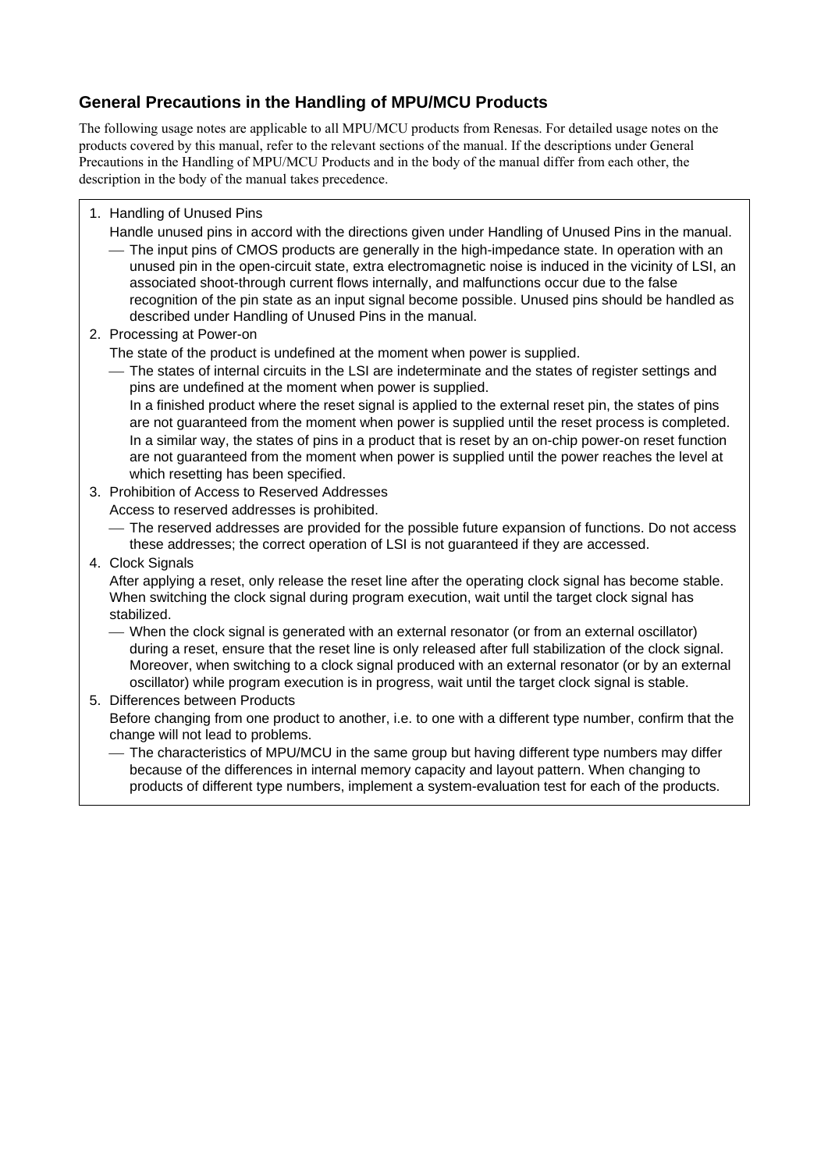# **General Precautions in the Handling of MPU/MCU Products**

The following usage notes are applicable to all MPU/MCU products from Renesas. For detailed usage notes on the products covered by this manual, refer to the relevant sections of the manual. If the descriptions under General Precautions in the Handling of MPU/MCU Products and in the body of the manual differ from each other, the description in the body of the manual takes precedence.

- 1. Handling of Unused Pins
	- Handle unused pins in accord with the directions given under Handling of Unused Pins in the manual.
		- ⎯ The input pins of CMOS products are generally in the high-impedance state. In operation with an unused pin in the open-circuit state, extra electromagnetic noise is induced in the vicinity of LSI, an associated shoot-through current flows internally, and malfunctions occur due to the false recognition of the pin state as an input signal become possible. Unused pins should be handled as described under Handling of Unused Pins in the manual.
- 2. Processing at Power-on

The state of the product is undefined at the moment when power is supplied.

⎯ The states of internal circuits in the LSI are indeterminate and the states of register settings and pins are undefined at the moment when power is supplied.

In a finished product where the reset signal is applied to the external reset pin, the states of pins are not guaranteed from the moment when power is supplied until the reset process is completed. In a similar way, the states of pins in a product that is reset by an on-chip power-on reset function are not guaranteed from the moment when power is supplied until the power reaches the level at which resetting has been specified.

- 3. Prohibition of Access to Reserved Addresses
	- Access to reserved addresses is prohibited.

⎯ The reserved addresses are provided for the possible future expansion of functions. Do not access these addresses; the correct operation of LSI is not guaranteed if they are accessed.

4. Clock Signals

After applying a reset, only release the reset line after the operating clock signal has become stable. When switching the clock signal during program execution, wait until the target clock signal has stabilized.

- ⎯ When the clock signal is generated with an external resonator (or from an external oscillator) during a reset, ensure that the reset line is only released after full stabilization of the clock signal. Moreover, when switching to a clock signal produced with an external resonator (or by an external oscillator) while program execution is in progress, wait until the target clock signal is stable.
- 5. Differences between Products

Before changing from one product to another, i.e. to one with a different type number, confirm that the change will not lead to problems.

⎯ The characteristics of MPU/MCU in the same group but having different type numbers may differ because of the differences in internal memory capacity and layout pattern. When changing to products of different type numbers, implement a system-evaluation test for each of the products.